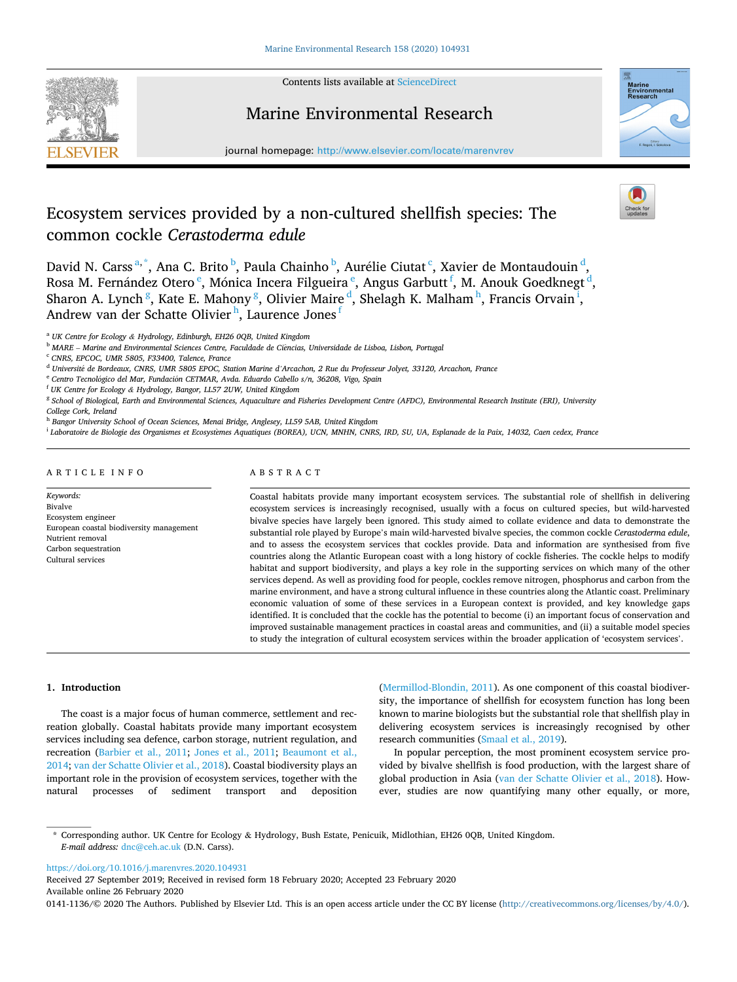

Contents lists available at [ScienceDirect](www.sciencedirect.com/science/journal/01411136)

## Marine Environmental Research

journal homepage: [http://www.elsevier.com/locate/marenvrev](https://http://www.elsevier.com/locate/marenvrev)

# Ecosystem services provided by a non-cultured shellfish species: The common cockle *Cerastoderma edule*

marine<br>Environmental<br>Research

## David N. Carss<sup>a,\*</sup>, Ana C. Brito <sup>b</sup>, Paula Chainho <sup>b</sup>, Aurélie Ciutat <sup>c</sup>, Xavier de Montaudouin <sup>d</sup>, Rosa M. Fernández Otero <sup>e</sup>, Mónica Incera Filgueira <sup>e</sup>, Angus Garbutt <sup>f</sup>, M. Anouk Goedknegt <sup>d</sup>, Sharon A. Lynch <sup>g</sup>, Kate E. Mahony <sup>g</sup>, Olivier Maire <sup>d</sup>, Shelagh K. Malham  $^{\text{h}}$ , Francis Orvain <sup>i</sup>, Andrew van der Schatte Olivier<sup>h</sup>, Laurence Jones <sup>f</sup>

<sup>a</sup> *UK Centre for Ecology & Hydrology, Edinburgh, EH26 0QB, United Kingdom* 

<sup>b</sup> *MARE* – *Marine and Environmental Sciences Centre, Faculdade de Ci*^*encias, Universidade de Lisboa, Lisbon, Portugal* 

<sup>c</sup> *CNRS, EPCOC, UMR 5805, F33400, Talence, France* 

<sup>e</sup> Centro Tecnológico del Mar, Fundación CETMAR, Avda. Eduardo Cabello s/n, 36208, Vigo, Spain

<sup>h</sup> *Bangor University School of Ocean Sciences, Menai Bridge, Anglesey, LL59 5AB, United Kingdom* 

<sup>i</sup> *Laboratoire de Biologie des Organismes et Ecosyst*�*emes Aquatiques (BOREA), UCN, MNHN, CNRS, IRD, SU, UA, Esplanade de la Paix, 14032, Caen cedex, France* 

## ARTICLE INFO

*Keywords:*  Bivalve Ecosystem engineer European coastal biodiversity management Nutrient removal Carbon sequestration Cultural services

## ABSTRACT

Coastal habitats provide many important ecosystem services. The substantial role of shellfish in delivering ecosystem services is increasingly recognised, usually with a focus on cultured species, but wild-harvested bivalve species have largely been ignored. This study aimed to collate evidence and data to demonstrate the substantial role played by Europe's main wild-harvested bivalve species, the common cockle *Cerastoderma edule*, and to assess the ecosystem services that cockles provide. Data and information are synthesised from five countries along the Atlantic European coast with a long history of cockle fisheries. The cockle helps to modify habitat and support biodiversity, and plays a key role in the supporting services on which many of the other services depend. As well as providing food for people, cockles remove nitrogen, phosphorus and carbon from the marine environment, and have a strong cultural influence in these countries along the Atlantic coast. Preliminary economic valuation of some of these services in a European context is provided, and key knowledge gaps identified. It is concluded that the cockle has the potential to become (i) an important focus of conservation and improved sustainable management practices in coastal areas and communities, and (ii) a suitable model species to study the integration of cultural ecosystem services within the broader application of 'ecosystem services'.

#### **1. Introduction**

The coast is a major focus of human commerce, settlement and recreation globally. Coastal habitats provide many important ecosystem services including sea defence, carbon storage, nutrient regulation, and recreation ([Barbier et al., 2011;](#page-7-0) [Jones et al., 2011;](#page-8-0) [Beaumont et al.,](#page-7-0)  [2014;](#page-7-0) [van der Schatte Olivier et al., 2018](#page-9-0)). Coastal biodiversity plays an important role in the provision of ecosystem services, together with the natural processes of sediment transport and deposition ([Mermillod-Blondin, 2011\)](#page-8-0). As one component of this coastal biodiversity, the importance of shellfish for ecosystem function has long been known to marine biologists but the substantial role that shellfish play in delivering ecosystem services is increasingly recognised by other research communities [\(Smaal et al., 2019](#page-9-0)).

In popular perception, the most prominent ecosystem service provided by bivalve shellfish is food production, with the largest share of global production in Asia [\(van der Schatte Olivier et al., 2018\)](#page-9-0). However, studies are now quantifying many other equally, or more,

<https://doi.org/10.1016/j.marenvres.2020.104931>

Available online 26 February 2020 Received 27 September 2019; Received in revised form 18 February 2020; Accepted 23 February 2020

0141-1136/© 2020 The Authors. Published by Elsevier Ltd. This is an open access article under the CC BY license [\(http://creativecommons.org/licenses/by/4.0/\)](http://creativecommons.org/licenses/by/4.0/).

<sup>d</sup> *Universit*�*e de Bordeaux, CNRS, UMR 5805 EPOC, Station Marine d'Arcachon, 2 Rue du Professeur Jolyet, 33120, Arcachon, France* 

<sup>f</sup> *UK Centre for Ecology & Hydrology, Bangor, LL57 2UW, United Kingdom* 

<sup>g</sup> *School of Biological, Earth and Environmental Sciences, Aquaculture and Fisheries Development Centre (AFDC), Environmental Research Institute (ERI), University College Cork, Ireland* 

<sup>\*</sup> Corresponding author. UK Centre for Ecology & Hydrology, Bush Estate, Penicuik, Midlothian, EH26 0QB, United Kingdom. *E-mail address:* [dnc@ceh.ac.uk](mailto:dnc@ceh.ac.uk) (D.N. Carss).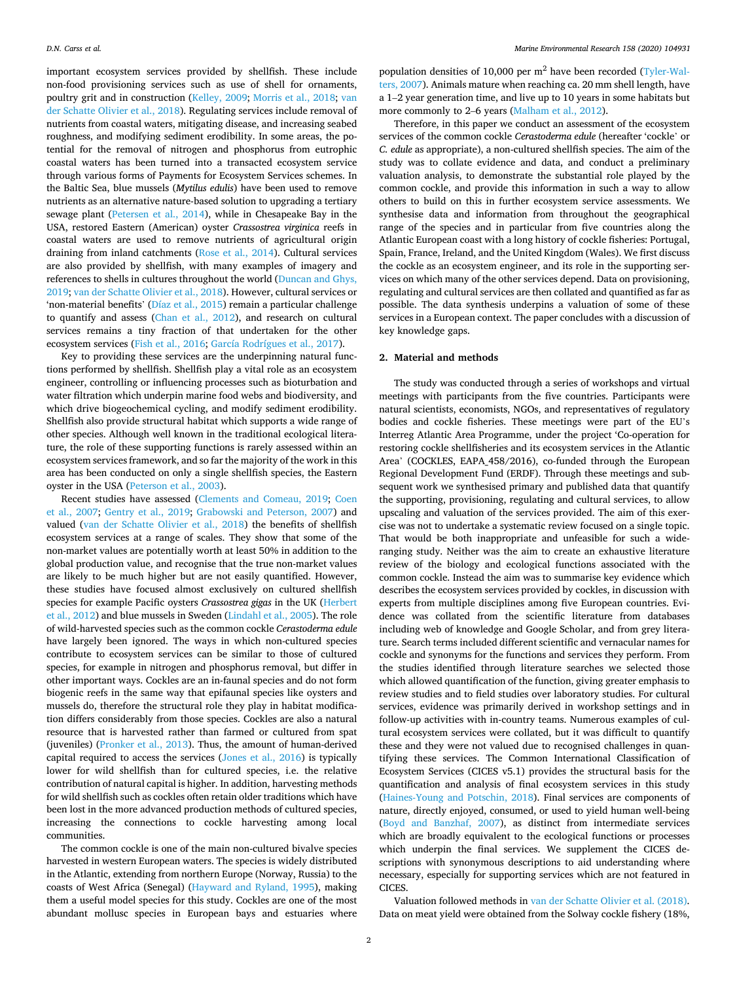important ecosystem services provided by shellfish. These include non-food provisioning services such as use of shell for ornaments, poultry grit and in construction [\(Kelley, 2009;](#page-8-0) [Morris et al., 2018](#page-9-0); [van](#page-9-0)  [der Schatte Olivier et al., 2018](#page-9-0)). Regulating services include removal of nutrients from coastal waters, mitigating disease, and increasing seabed roughness, and modifying sediment erodibility. In some areas, the potential for the removal of nitrogen and phosphorus from eutrophic coastal waters has been turned into a transacted ecosystem service through various forms of Payments for Ecosystem Services schemes. In the Baltic Sea, blue mussels (*Mytilus edulis*) have been used to remove nutrients as an alternative nature-based solution to upgrading a tertiary sewage plant ([Petersen et al., 2014](#page-9-0)), while in Chesapeake Bay in the USA, restored Eastern (American) oyster *Crassostrea virginica* reefs in coastal waters are used to remove nutrients of agricultural origin draining from inland catchments ([Rose et al., 2014](#page-9-0)). Cultural services are also provided by shellfish, with many examples of imagery and references to shells in cultures throughout the world [\(Duncan and Ghys,](#page-8-0)  [2019;](#page-8-0) [van der Schatte Olivier et al., 2018](#page-9-0)). However, cultural services or 'non-material benefits' ([Díaz et al., 2015](#page-8-0)) remain a particular challenge to quantify and assess [\(Chan et al., 2012\)](#page-8-0), and research on cultural services remains a tiny fraction of that undertaken for the other ecosystem services ([Fish et al., 2016](#page-8-0); [García Rodrígues et al., 2017\)](#page-8-0).

Key to providing these services are the underpinning natural functions performed by shellfish. Shellfish play a vital role as an ecosystem engineer, controlling or influencing processes such as bioturbation and water filtration which underpin marine food webs and biodiversity, and which drive biogeochemical cycling, and modify sediment erodibility. Shellfish also provide structural habitat which supports a wide range of other species. Although well known in the traditional ecological literature, the role of these supporting functions is rarely assessed within an ecosystem services framework, and so far the majority of the work in this area has been conducted on only a single shellfish species, the Eastern oyster in the USA ([Peterson et al., 2003\)](#page-9-0).

Recent studies have assessed ([Clements and Comeau, 2019](#page-8-0); [Coen](#page-8-0)  [et al., 2007](#page-8-0); [Gentry et al., 2019;](#page-8-0) [Grabowski and Peterson, 2007](#page-8-0)) and valued ([van der Schatte Olivier et al., 2018](#page-9-0)) the benefits of shellfish ecosystem services at a range of scales. They show that some of the non-market values are potentially worth at least 50% in addition to the global production value, and recognise that the true non-market values are likely to be much higher but are not easily quantified. However, these studies have focused almost exclusively on cultured shellfish species for example Pacific oysters *Crassostrea gigas* in the UK ([Herbert](#page-8-0)  [et al., 2012](#page-8-0)) and blue mussels in Sweden [\(Lindahl et al., 2005\)](#page-8-0). The role of wild-harvested species such as the common cockle *Cerastoderma edule*  have largely been ignored. The ways in which non-cultured species contribute to ecosystem services can be similar to those of cultured species, for example in nitrogen and phosphorus removal, but differ in other important ways. Cockles are an in-faunal species and do not form biogenic reefs in the same way that epifaunal species like oysters and mussels do, therefore the structural role they play in habitat modification differs considerably from those species. Cockles are also a natural resource that is harvested rather than farmed or cultured from spat (juveniles) ([Pronker et al., 2013](#page-9-0)). Thus, the amount of human-derived capital required to access the services ([Jones et al., 2016\)](#page-8-0) is typically lower for wild shellfish than for cultured species, i.e. the relative contribution of natural capital is higher. In addition, harvesting methods for wild shellfish such as cockles often retain older traditions which have been lost in the more advanced production methods of cultured species, increasing the connections to cockle harvesting among local communities.

The common cockle is one of the main non-cultured bivalve species harvested in western European waters. The species is widely distributed in the Atlantic, extending from northern Europe (Norway, Russia) to the coasts of West Africa (Senegal) [\(Hayward and Ryland, 1995](#page-8-0)), making them a useful model species for this study. Cockles are one of the most abundant mollusc species in European bays and estuaries where population densities of 10,000 per  $m<sup>2</sup>$  have been recorded [\(Tyler-Wal](#page-9-0)[ters, 2007](#page-9-0)). Animals mature when reaching ca. 20 mm shell length, have a 1–2 year generation time, and live up to 10 years in some habitats but more commonly to 2–6 years [\(Malham et al., 2012\)](#page-8-0).

Therefore, in this paper we conduct an assessment of the ecosystem services of the common cockle *Cerastoderma edule* (hereafter 'cockle' or *C. edule* as appropriate), a non-cultured shellfish species. The aim of the study was to collate evidence and data, and conduct a preliminary valuation analysis, to demonstrate the substantial role played by the common cockle, and provide this information in such a way to allow others to build on this in further ecosystem service assessments. We synthesise data and information from throughout the geographical range of the species and in particular from five countries along the Atlantic European coast with a long history of cockle fisheries: Portugal, Spain, France, Ireland, and the United Kingdom (Wales). We first discuss the cockle as an ecosystem engineer, and its role in the supporting services on which many of the other services depend. Data on provisioning, regulating and cultural services are then collated and quantified as far as possible. The data synthesis underpins a valuation of some of these services in a European context. The paper concludes with a discussion of key knowledge gaps.

## **2. Material and methods**

The study was conducted through a series of workshops and virtual meetings with participants from the five countries. Participants were natural scientists, economists, NGOs, and representatives of regulatory bodies and cockle fisheries. These meetings were part of the EU's Interreg Atlantic Area Programme, under the project 'Co-operation for restoring cockle shellfisheries and its ecosystem services in the Atlantic Area' (COCKLES, EAPA\_458/2016), co-funded through the European Regional Development Fund (ERDF). Through these meetings and subsequent work we synthesised primary and published data that quantify the supporting, provisioning, regulating and cultural services, to allow upscaling and valuation of the services provided. The aim of this exercise was not to undertake a systematic review focused on a single topic. That would be both inappropriate and unfeasible for such a wideranging study. Neither was the aim to create an exhaustive literature review of the biology and ecological functions associated with the common cockle. Instead the aim was to summarise key evidence which describes the ecosystem services provided by cockles, in discussion with experts from multiple disciplines among five European countries. Evidence was collated from the scientific literature from databases including web of knowledge and Google Scholar, and from grey literature. Search terms included different scientific and vernacular names for cockle and synonyms for the functions and services they perform. From the studies identified through literature searches we selected those which allowed quantification of the function, giving greater emphasis to review studies and to field studies over laboratory studies. For cultural services, evidence was primarily derived in workshop settings and in follow-up activities with in-country teams. Numerous examples of cultural ecosystem services were collated, but it was difficult to quantify these and they were not valued due to recognised challenges in quantifying these services. The Common International Classification of Ecosystem Services (CICES v5.1) provides the structural basis for the quantification and analysis of final ecosystem services in this study ([Haines-Young and Potschin, 2018](#page-8-0)). Final services are components of nature, directly enjoyed, consumed, or used to yield human well-being ([Boyd and Banzhaf, 2007](#page-7-0)), as distinct from intermediate services which are broadly equivalent to the ecological functions or processes which underpin the final services. We supplement the CICES descriptions with synonymous descriptions to aid understanding where necessary, especially for supporting services which are not featured in CICES.

Valuation followed methods in [van der Schatte Olivier et al. \(2018\)](#page-9-0). Data on meat yield were obtained from the Solway cockle fishery (18%,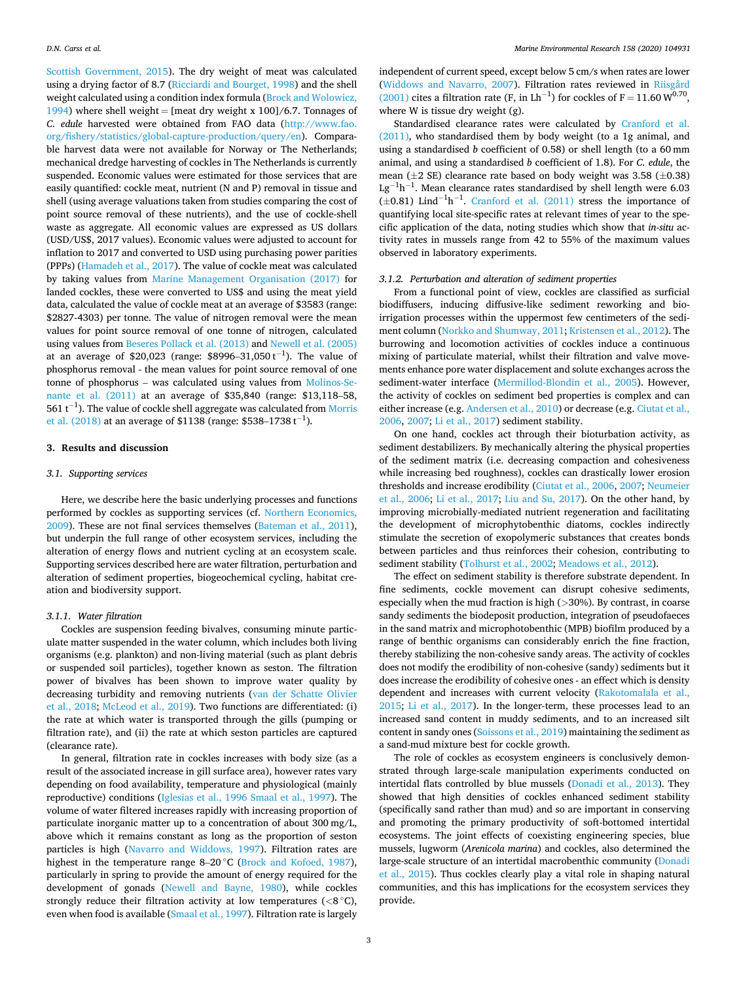<span id="page-2-0"></span>[Scottish Government, 2015](#page-9-0)). The dry weight of meat was calculated using a drying factor of 8.7 ([Ricciardi and Bourget, 1998](#page-9-0)) and the shell weight calculated using a condition index formula [\(Brock and Wolowicz,](#page-7-0)  [1994\)](#page-7-0) where shell weight = [meat dry weight x 100]/6.7. Tonnages of *C. edule* harvested were obtained from FAO data ([http://www.fao.](http://www.fao.org/fishery/statistics/global-capture-production/query/en)  [org/fishery/statistics/global-capture-production/query/en\)](http://www.fao.org/fishery/statistics/global-capture-production/query/en). Comparable harvest data were not available for Norway or The Netherlands; mechanical dredge harvesting of cockles in The Netherlands is currently suspended. Economic values were estimated for those services that are easily quantified: cockle meat, nutrient (N and P) removal in tissue and shell (using average valuations taken from studies comparing the cost of point source removal of these nutrients), and the use of cockle-shell waste as aggregate. All economic values are expressed as US dollars (USD/US\$, 2017 values). Economic values were adjusted to account for inflation to 2017 and converted to USD using purchasing power parities (PPPs) ([Hamadeh et al., 2017\)](#page-8-0). The value of cockle meat was calculated by taking values from [Marine Management Organisation \(2017\)](#page-8-0) for landed cockles, these were converted to US\$ and using the meat yield data, calculated the value of cockle meat at an average of \$3583 (range: \$2827-4303) per tonne. The value of nitrogen removal were the mean values for point source removal of one tonne of nitrogen, calculated using values from [Beseres Pollack et al. \(2013\)](#page-7-0) and [Newell et al. \(2005\)](#page-9-0)  at an average of \$20,023 (range: \$8996–31,050 $t^{-1}$ ). The value of phosphorus removal - the mean values for point source removal of one tonne of phosphorus – was calculated using values from [Molinos-Se](#page-9-0)[nante et al. \(2011\)](#page-9-0) at an average of \$35,840 (range: \$13,118–58, 561  $t^{-1}$ ). The value of cockle shell aggregate was calculated from Morris [et al. \(2018\)](#page-9-0) at an average of \$1138 (range: \$538–1738 t<sup>-1</sup>).

## **3. Results and discussion**

## *3.1. Supporting services*

Here, we describe here the basic underlying processes and functions performed by cockles as supporting services (cf. [Northern Economics,](#page-9-0)  [2009\)](#page-9-0). These are not final services themselves ([Bateman et al., 2011](#page-7-0)), but underpin the full range of other ecosystem services, including the alteration of energy flows and nutrient cycling at an ecosystem scale. Supporting services described here are water filtration, perturbation and alteration of sediment properties, biogeochemical cycling, habitat creation and biodiversity support.

## *3.1.1. Water filtration*

Cockles are suspension feeding bivalves, consuming minute particulate matter suspended in the water column, which includes both living organisms (e.g. plankton) and non-living material (such as plant debris or suspended soil particles), together known as seston. The filtration power of bivalves has been shown to improve water quality by decreasing turbidity and removing nutrients [\(van der Schatte Olivier](#page-9-0)  [et al., 2018](#page-9-0); [McLeod et al., 2019](#page-8-0)). Two functions are differentiated: (i) the rate at which water is transported through the gills (pumping or filtration rate), and (ii) the rate at which seston particles are captured (clearance rate).

In general, filtration rate in cockles increases with body size (as a result of the associated increase in gill surface area), however rates vary depending on food availability, temperature and physiological (mainly reproductive) conditions ([Iglesias et al., 1996](#page-8-0) [Smaal et al., 1997](#page-9-0)). The volume of water filtered increases rapidly with increasing proportion of particulate inorganic matter up to a concentration of about 300 mg/L, above which it remains constant as long as the proportion of seston particles is high ([Navarro and Widdows, 1997](#page-9-0)). Filtration rates are highest in the temperature range 8-20 °C ([Brock and Kofoed, 1987](#page-7-0)), particularly in spring to provide the amount of energy required for the development of gonads [\(Newell and Bayne, 1980](#page-9-0)), while cockles strongly reduce their filtration activity at low temperatures  $(<8^{\circ}C$ ), even when food is available [\(Smaal et al., 1997](#page-9-0)). Filtration rate is largely

independent of current speed, except below 5 cm/s when rates are lower ([Widdows and Navarro, 2007](#page-9-0)). Filtration rates reviewed in [Riisgård](#page-9-0)  [\(2001\)](#page-9-0) cites a filtration rate (F, in Lh<sup>-1</sup>) for cockles of F = 11.60  $W^{0.70}$ , where W is tissue dry weight (g).

Standardised clearance rates were calculated by [Cranford et al.](#page-8-0)  [\(2011\),](#page-8-0) who standardised them by body weight (to a 1g animal, and using a standardised *b* coefficient of 0.58) or shell length (to a 60 mm animal, and using a standardised *b* coefficient of 1.8). For *C. edule*, the mean  $(\pm 2$  SE) clearance rate based on body weight was 3.58 ( $\pm 0.38$ )  $\text{Lg}^{-1}\text{h}^{-1}$ . Mean clearance rates standardised by shell length were 6.03  $(\pm 0.81)$  Lind<sup>-1</sup>h<sup>-1</sup>. [Cranford et al. \(2011\)](#page-8-0) stress the importance of quantifying local site-specific rates at relevant times of year to the specific application of the data, noting studies which show that *in-situ* activity rates in mussels range from 42 to 55% of the maximum values observed in laboratory experiments.

#### *3.1.2. Perturbation and alteration of sediment properties*

From a functional point of view, cockles are classified as surficial biodiffusers, inducing diffusive-like sediment reworking and bioirrigation processes within the uppermost few centimeters of the sediment column [\(Norkko and Shumway, 2011](#page-9-0); [Kristensen et al., 2012](#page-8-0)). The burrowing and locomotion activities of cockles induce a continuous mixing of particulate material, whilst their filtration and valve movements enhance pore water displacement and solute exchanges across the sediment-water interface [\(Mermillod-Blondin et al., 2005](#page-8-0)). However, the activity of cockles on sediment bed properties is complex and can either increase (e.g. [Andersen et al., 2010](#page-7-0)) or decrease (e.g. [Ciutat et al.,](#page-8-0)  [2006, 2007](#page-8-0); [Li et al., 2017](#page-8-0)) sediment stability.

On one hand, cockles act through their bioturbation activity, as sediment destabilizers. By mechanically altering the physical properties of the sediment matrix (i.e. decreasing compaction and cohesiveness while increasing bed roughness), cockles can drastically lower erosion thresholds and increase erodibility [\(Ciutat et al., 2006, 2007;](#page-8-0) [Neumeier](#page-9-0)  [et al., 2006;](#page-9-0) [Li et al., 2017](#page-8-0); [Liu and Su, 2017\)](#page-8-0). On the other hand, by improving microbially-mediated nutrient regeneration and facilitating the development of microphytobenthic diatoms, cockles indirectly stimulate the secretion of exopolymeric substances that creates bonds between particles and thus reinforces their cohesion, contributing to sediment stability ([Tolhurst et al., 2002;](#page-9-0) [Meadows et al., 2012](#page-8-0)).

The effect on sediment stability is therefore substrate dependent. In fine sediments, cockle movement can disrupt cohesive sediments, especially when the mud fraction is high (*>*30%). By contrast, in coarse sandy sediments the biodeposit production, integration of pseudofaeces in the sand matrix and microphotobenthic (MPB) biofilm produced by a range of benthic organisms can considerably enrich the fine fraction, thereby stabilizing the non-cohesive sandy areas. The activity of cockles does not modify the erodibility of non-cohesive (sandy) sediments but it does increase the erodibility of cohesive ones - an effect which is density dependent and increases with current velocity ([Rakotomalala et al.,](#page-9-0)  [2015;](#page-9-0) [Li et al., 2017](#page-8-0)). In the longer-term, these processes lead to an increased sand content in muddy sediments, and to an increased silt content in sandy ones ([Soissons et al., 2019](#page-9-0)) maintaining the sediment as a sand-mud mixture best for cockle growth.

The role of cockles as ecosystem engineers is conclusively demonstrated through large-scale manipulation experiments conducted on intertidal flats controlled by blue mussels [\(Donadi et al., 2013\)](#page-8-0). They showed that high densities of cockles enhanced sediment stability (specifically sand rather than mud) and so are important in conserving and promoting the primary productivity of soft-bottomed intertidal ecosystems. The joint effects of coexisting engineering species, blue mussels, lugworm (*Arenicola marina*) and cockles, also determined the large-scale structure of an intertidal macrobenthic community [\(Donadi](#page-8-0)  [et al., 2015](#page-8-0)). Thus cockles clearly play a vital role in shaping natural communities, and this has implications for the ecosystem services they provide.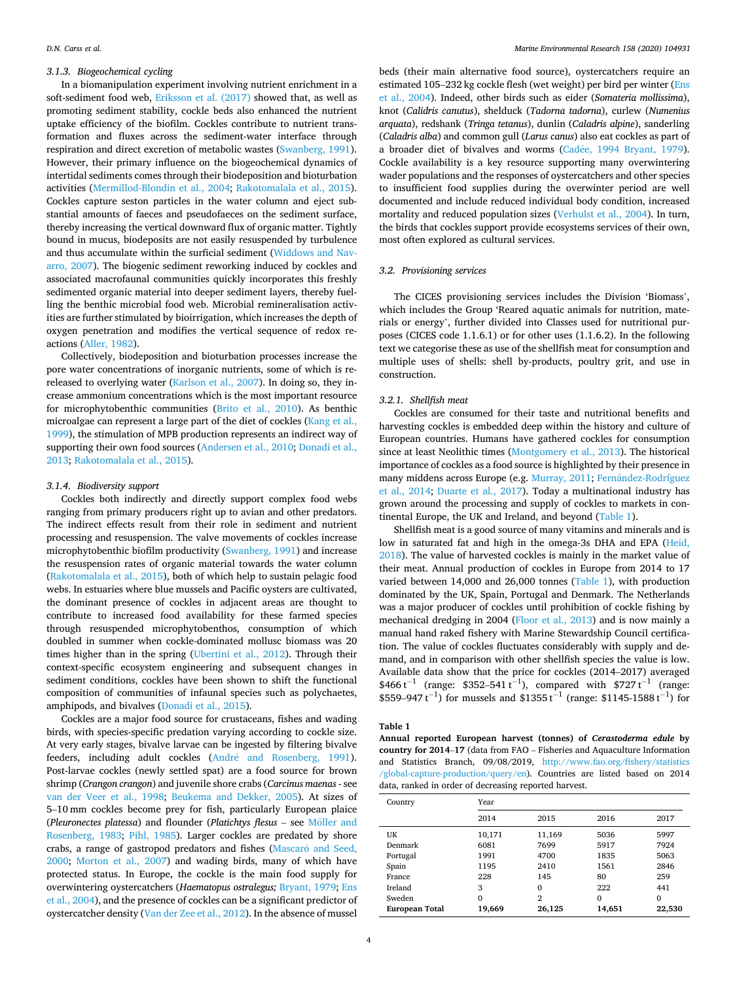### *3.1.3. Biogeochemical cycling*

In a biomanipulation experiment involving nutrient enrichment in a soft-sediment food web, [Eriksson et al. \(2017\)](#page-8-0) showed that, as well as promoting sediment stability, cockle beds also enhanced the nutrient uptake efficiency of the biofilm. Cockles contribute to nutrient transformation and fluxes across the sediment-water interface through respiration and direct excretion of metabolic wastes [\(Swanberg, 1991](#page-9-0)). However, their primary influence on the biogeochemical dynamics of intertidal sediments comes through their biodeposition and bioturbation activities [\(Mermillod-Blondin et al., 2004;](#page-8-0) [Rakotomalala et al., 2015](#page-9-0)). Cockles capture seston particles in the water column and eject substantial amounts of faeces and pseudofaeces on the sediment surface, thereby increasing the vertical downward flux of organic matter. Tightly bound in mucus, biodeposits are not easily resuspended by turbulence and thus accumulate within the surficial sediment [\(Widdows and Nav](#page-9-0)[arro, 2007](#page-9-0)). The biogenic sediment reworking induced by cockles and associated macrofaunal communities quickly incorporates this freshly sedimented organic material into deeper sediment layers, thereby fuelling the benthic microbial food web. Microbial remineralisation activities are further stimulated by bioirrigation, which increases the depth of oxygen penetration and modifies the vertical sequence of redox reactions ([Aller, 1982\)](#page-7-0).

Collectively, biodeposition and bioturbation processes increase the pore water concentrations of inorganic nutrients, some of which is rereleased to overlying water ([Karlson et al., 2007](#page-8-0)). In doing so, they increase ammonium concentrations which is the most important resource for microphytobenthic communities [\(Brito et al., 2010](#page-7-0)). As benthic microalgae can represent a large part of the diet of cockles ([Kang et al.,](#page-8-0)  [1999\)](#page-8-0), the stimulation of MPB production represents an indirect way of supporting their own food sources ([Andersen et al., 2010](#page-7-0); [Donadi et al.,](#page-8-0)  [2013;](#page-8-0) [Rakotomalala et al., 2015](#page-9-0)).

## *3.1.4. Biodiversity support*

Cockles both indirectly and directly support complex food webs ranging from primary producers right up to avian and other predators. The indirect effects result from their role in sediment and nutrient processing and resuspension. The valve movements of cockles increase microphytobenthic biofilm productivity ([Swanberg, 1991\)](#page-9-0) and increase the resuspension rates of organic material towards the water column ([Rakotomalala et al., 2015\)](#page-9-0), both of which help to sustain pelagic food webs. In estuaries where blue mussels and Pacific oysters are cultivated, the dominant presence of cockles in adjacent areas are thought to contribute to increased food availability for these farmed species through resuspended microphytobenthos, consumption of which doubled in summer when cockle-dominated mollusc biomass was 20 times higher than in the spring ([Ubertini et al., 2012](#page-9-0)). Through their context-specific ecosystem engineering and subsequent changes in sediment conditions, cockles have been shown to shift the functional composition of communities of infaunal species such as polychaetes, amphipods, and bivalves ([Donadi et al., 2015\)](#page-8-0).

Cockles are a major food source for crustaceans, fishes and wading birds, with species-specific predation varying according to cockle size. At very early stages, bivalve larvae can be ingested by filtering bivalve feeders, including adult cockles (André and Rosenberg, 1991). Post-larvae cockles (newly settled spat) are a food source for brown shrimp (*Crangon crangon*) and juvenile shore crabs (*Carcinus maenas* - see [van der Veer et al., 1998;](#page-9-0) [Beukema and Dekker, 2005\)](#page-7-0). At sizes of 5–10 mm cockles become prey for fish, particularly European plaice (Pleuronectes platessa) and flounder (Platichtys flesus - see Möller and [Rosenberg, 1983](#page-9-0); [Pihl, 1985](#page-9-0)). Larger cockles are predated by shore crabs, a range of gastropod predators and fishes (Mascaró and Seed, [2000;](#page-8-0) [Morton et al., 2007\)](#page-9-0) and wading birds, many of which have protected status. In Europe, the cockle is the main food supply for overwintering oystercatchers (*Haematopus ostralegus;* [Bryant, 1979;](#page-7-0) [Ens](#page-8-0)  [et al., 2004\)](#page-8-0), and the presence of cockles can be a significant predictor of oystercatcher density ([Van der Zee et al., 2012](#page-9-0)). In the absence of mussel

beds (their main alternative food source), oystercatchers require an estimated 105–232 kg cockle flesh (wet weight) per bird per winter [\(Ens](#page-8-0)  [et al., 2004](#page-8-0)). Indeed, other birds such as eider (*Somateria mollissima*), knot (*Calidris canutus*), shelduck (*Tadorna tadorna*), curlew (*Numenius arquata*), redshank (*Tringa tetanus*), dunlin (*Caladris alpine*), sanderling (*Caladris alba*) and common gull (*Larus canus*) also eat cockles as part of a broader diet of bivalves and worms (Cadée, 1994 Bryant, 1979). Cockle availability is a key resource supporting many overwintering wader populations and the responses of oystercatchers and other species to insufficient food supplies during the overwinter period are well documented and include reduced individual body condition, increased mortality and reduced population sizes ([Verhulst et al., 2004](#page-9-0)). In turn, the birds that cockles support provide ecosystems services of their own, most often explored as cultural services.

## *3.2. Provisioning services*

The CICES provisioning services includes the Division 'Biomass', which includes the Group 'Reared aquatic animals for nutrition, materials or energy', further divided into Classes used for nutritional purposes (CICES code 1.1.6.1) or for other uses (1.1.6.2). In the following text we categorise these as use of the shellfish meat for consumption and multiple uses of shells: shell by-products, poultry grit, and use in construction.

#### *3.2.1. Shellfish meat*

Cockles are consumed for their taste and nutritional benefits and harvesting cockles is embedded deep within the history and culture of European countries. Humans have gathered cockles for consumption since at least Neolithic times ([Montgomery et al., 2013](#page-9-0)). The historical importance of cockles as a food source is highlighted by their presence in many middens across Europe (e.g. [Murray, 2011](#page-9-0); Fernández-Rodríguez [et al., 2014](#page-8-0); [Duarte et al., 2017](#page-8-0)). Today a multinational industry has grown around the processing and supply of cockles to markets in continental Europe, the UK and Ireland, and beyond (Table 1).

Shellfish meat is a good source of many vitamins and minerals and is low in saturated fat and high in the omega-3s DHA and EPA ([Heid,](#page-8-0)  [2018\)](#page-8-0). The value of harvested cockles is mainly in the market value of their meat. Annual production of cockles in Europe from 2014 to 17 varied between 14,000 and 26,000 tonnes (Table 1), with production dominated by the UK, Spain, Portugal and Denmark. The Netherlands was a major producer of cockles until prohibition of cockle fishing by mechanical dredging in 2004 ([Floor et al., 2013\)](#page-8-0) and is now mainly a manual hand raked fishery with Marine Stewardship Council certification. The value of cockles fluctuates considerably with supply and demand, and in comparison with other shellfish species the value is low. Available data show that the price for cockles (2014–2017) averaged \$466 t<sup>-1</sup> (range: \$352–541 t<sup>-1</sup>), compared with \$727 t<sup>-1</sup> (range: \$559–947 t<sup>-1</sup>) for mussels and \$1355 t<sup>-1</sup> (range: \$1145-1588 t<sup>-1</sup>) for

#### **Table 1**

**Annual reported European harvest (tonnes) of** *Cerastoderma edule* **by country for 2014**–**17** (data from FAO – Fisheries and Aquaculture Information and Statistics Branch, 09/08/2019, [http://www.fao.org/fishery/statistics](http://www.fao.org/fishery/statistics/global-capture-production/query/en)  [/global-capture-production/query/en\)](http://www.fao.org/fishery/statistics/global-capture-production/query/en). Countries are listed based on 2014 data, ranked in order of decreasing reported harvest.

| Country        | Year     |          |          |          |  |  |
|----------------|----------|----------|----------|----------|--|--|
|                | 2014     | 2015     | 2016     | 2017     |  |  |
| UK             | 10,171   | 11,169   | 5036     | 5997     |  |  |
| Denmark        | 6081     | 7699     | 5917     | 7924     |  |  |
| Portugal       | 1991     | 4700     | 1835     | 5063     |  |  |
| Spain          | 1195     | 2410     | 1561     | 2846     |  |  |
| France         | 228      | 145      | 80       | 259      |  |  |
| Ireland        | 3        | $\Omega$ | 222      | 441      |  |  |
| Sweden         | $\Omega$ | 2        | $\Omega$ | $\Omega$ |  |  |
| European Total | 19,669   | 26,125   | 14,651   | 22,530   |  |  |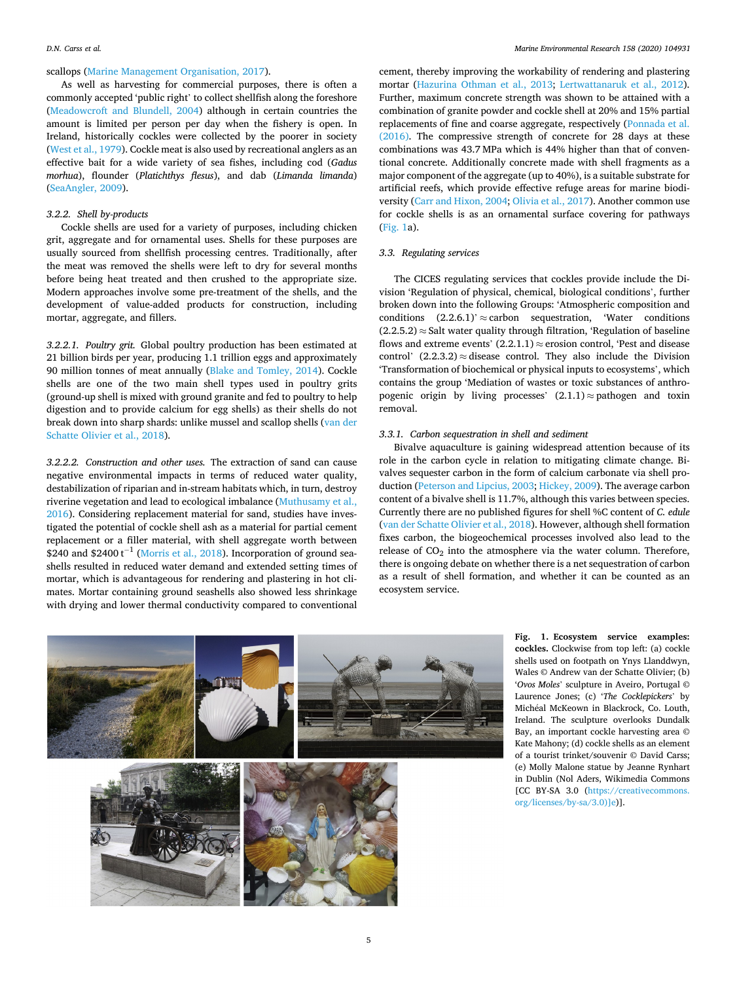## <span id="page-4-0"></span>scallops ([Marine Management Organisation, 2017\)](#page-8-0).

As well as harvesting for commercial purposes, there is often a commonly accepted 'public right' to collect shellfish along the foreshore ([Meadowcroft and Blundell, 2004\)](#page-8-0) although in certain countries the amount is limited per person per day when the fishery is open. In Ireland, historically cockles were collected by the poorer in society ([West et al., 1979](#page-9-0)). Cockle meat is also used by recreational anglers as an effective bait for a wide variety of sea fishes, including cod (*Gadus morhua*), flounder (*Platichthys flesus*), and dab (*Limanda limanda*) ([SeaAngler, 2009\)](#page-9-0).

## *3.2.2. Shell by-products*

Cockle shells are used for a variety of purposes, including chicken grit, aggregate and for ornamental uses. Shells for these purposes are usually sourced from shellfish processing centres. Traditionally, after the meat was removed the shells were left to dry for several months before being heat treated and then crushed to the appropriate size. Modern approaches involve some pre-treatment of the shells, and the development of value-added products for construction, including mortar, aggregate, and fillers.

*3.2.2.1. Poultry grit.* Global poultry production has been estimated at 21 billion birds per year, producing 1.1 trillion eggs and approximately 90 million tonnes of meat annually ([Blake and Tomley, 2014](#page-7-0)). Cockle shells are one of the two main shell types used in poultry grits (ground-up shell is mixed with ground granite and fed to poultry to help digestion and to provide calcium for egg shells) as their shells do not break down into sharp shards: unlike mussel and scallop shells [\(van der](#page-9-0)  [Schatte Olivier et al., 2018\)](#page-9-0).

*3.2.2.2. Construction and other uses.* The extraction of sand can cause negative environmental impacts in terms of reduced water quality, destabilization of riparian and in-stream habitats which, in turn, destroy riverine vegetation and lead to ecological imbalance ([Muthusamy et al.,](#page-9-0)  [2016\)](#page-9-0). Considering replacement material for sand, studies have investigated the potential of cockle shell ash as a material for partial cement replacement or a filler material, with shell aggregate worth between \$240 and \$2400  $t^{-1}$  ([Morris et al., 2018\)](#page-9-0). Incorporation of ground seashells resulted in reduced water demand and extended setting times of mortar, which is advantageous for rendering and plastering in hot climates. Mortar containing ground seashells also showed less shrinkage with drying and lower thermal conductivity compared to conventional

cement, thereby improving the workability of rendering and plastering mortar [\(Hazurina Othman et al., 2013;](#page-8-0) [Lertwattanaruk et al., 2012](#page-8-0)). Further, maximum concrete strength was shown to be attained with a combination of granite powder and cockle shell at 20% and 15% partial replacements of fine and coarse aggregate, respectively [\(Ponnada et al.](#page-9-0)  [\(2016\).](#page-9-0) The compressive strength of concrete for 28 days at these combinations was 43.7 MPa which is 44% higher than that of conventional concrete. Additionally concrete made with shell fragments as a major component of the aggregate (up to 40%), is a suitable substrate for artificial reefs, which provide effective refuge areas for marine biodiversity [\(Carr and Hixon, 2004](#page-7-0); [Olivia et al., 2017](#page-9-0)). Another common use for cockle shells is as an ornamental surface covering for pathways (Fig. 1a).

## *3.3. Regulating services*

The CICES regulating services that cockles provide include the Division 'Regulation of physical, chemical, biological conditions', further broken down into the following Groups: 'Atmospheric composition and conditions  $(2.2.6.1)$ '  $\approx$  carbon sequestration, 'Water conditions'  $(2.2.5.2) \approx$  Salt water quality through filtration, 'Regulation of baseline flows and extreme events'  $(2.2.1.1) \approx$  erosion control, 'Pest and disease control'  $(2.2.3.2) \approx$  disease control. They also include the Division 'Transformation of biochemical or physical inputs to ecosystems', which contains the group 'Mediation of wastes or toxic substances of anthropogenic origin by living processes'  $(2.1.1) \approx$  pathogen and toxin removal.

#### *3.3.1. Carbon sequestration in shell and sediment*

Bivalve aquaculture is gaining widespread attention because of its role in the carbon cycle in relation to mitigating climate change. Bivalves sequester carbon in the form of calcium carbonate via shell production [\(Peterson and Lipcius, 2003;](#page-9-0) [Hickey, 2009](#page-8-0)). The average carbon content of a bivalve shell is 11.7%, although this varies between species. Currently there are no published figures for shell %C content of *C. edule*  ([van der Schatte Olivier et al., 2018](#page-9-0)). However, although shell formation fixes carbon, the biogeochemical processes involved also lead to the release of CO<sub>2</sub> into the atmosphere via the water column. Therefore, there is ongoing debate on whether there is a net sequestration of carbon as a result of shell formation, and whether it can be counted as an ecosystem service.



**Fig. 1. Ecosystem service examples: cockles.** Clockwise from top left: (a) cockle shells used on footpath on Ynys Llanddwyn, Wales © Andrew van der Schatte Olivier; (b) '*Ovos Moles*' sculpture in Aveiro, Portugal © Laurence Jones; (c) '*The Cocklepickers*' by Mich�eal McKeown in Blackrock, Co. Louth, Ireland. The sculpture overlooks Dundalk Bay, an important cockle harvesting area © Kate Mahony; (d) cockle shells as an element of a tourist trinket/souvenir © David Carss; (e) Molly Malone statue by Jeanne Rynhart in Dublin (Nol Aders, Wikimedia Commons [CC BY-SA 3.0 [\(https://creativecommons.](https://creativecommons.org/licenses/by-sa/3.0)]e)  [org/licenses/by-sa/3.0\)\]e\)](https://creativecommons.org/licenses/by-sa/3.0)]e)].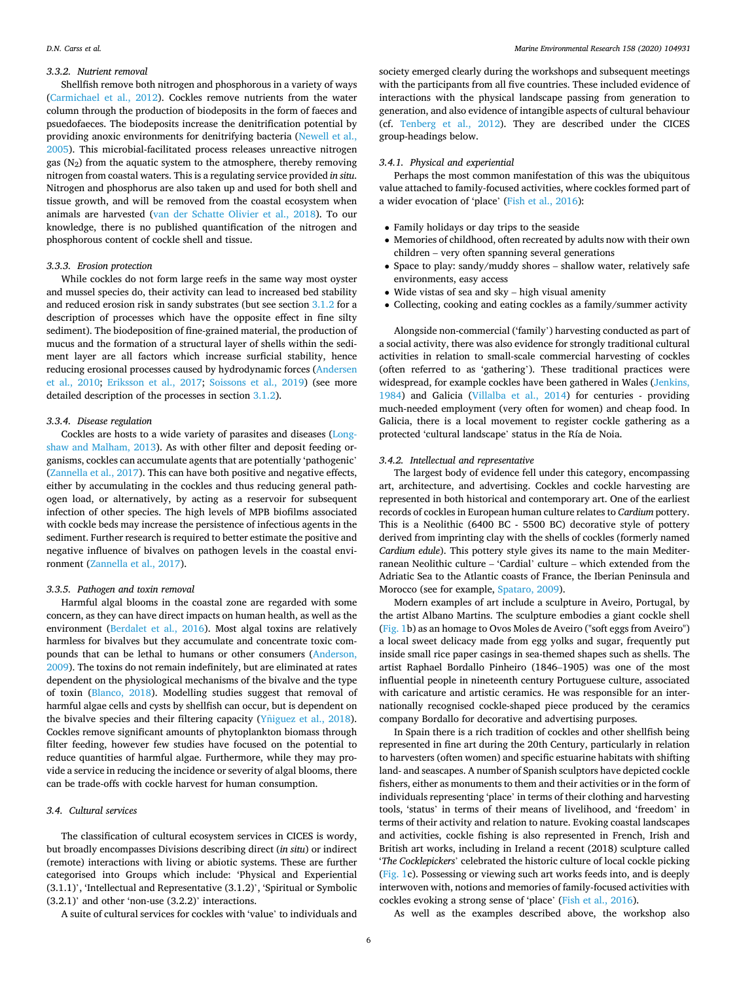#### *3.3.2. Nutrient removal*

Shellfish remove both nitrogen and phosphorous in a variety of ways ([Carmichael et al., 2012\)](#page-7-0). Cockles remove nutrients from the water column through the production of biodeposits in the form of faeces and psuedofaeces. The biodeposits increase the denitrification potential by providing anoxic environments for denitrifying bacteria [\(Newell et al.,](#page-9-0)  [2005\)](#page-9-0). This microbial-facilitated process releases unreactive nitrogen gas  $(N_2)$  from the aquatic system to the atmosphere, thereby removing nitrogen from coastal waters. This is a regulating service provided *in situ*. Nitrogen and phosphorus are also taken up and used for both shell and tissue growth, and will be removed from the coastal ecosystem when animals are harvested ([van der Schatte Olivier et al., 2018](#page-9-0)). To our knowledge, there is no published quantification of the nitrogen and phosphorous content of cockle shell and tissue.

#### *3.3.3. Erosion protection*

While cockles do not form large reefs in the same way most oyster and mussel species do, their activity can lead to increased bed stability and reduced erosion risk in sandy substrates (but see section [3.1.2](#page-2-0) for a description of processes which have the opposite effect in fine silty sediment). The biodeposition of fine-grained material, the production of mucus and the formation of a structural layer of shells within the sediment layer are all factors which increase surficial stability, hence reducing erosional processes caused by hydrodynamic forces ([Andersen](#page-7-0)  [et al., 2010;](#page-7-0) [Eriksson et al., 2017;](#page-8-0) [Soissons et al., 2019\)](#page-9-0) (see more detailed description of the processes in section [3.1.2\)](#page-2-0).

#### *3.3.4. Disease regulation*

Cockles are hosts to a wide variety of parasites and diseases ([Long](#page-8-0)[shaw and Malham, 2013](#page-8-0)). As with other filter and deposit feeding organisms, cockles can accumulate agents that are potentially 'pathogenic' ([Zannella et al., 2017](#page-9-0)). This can have both positive and negative effects, either by accumulating in the cockles and thus reducing general pathogen load, or alternatively, by acting as a reservoir for subsequent infection of other species. The high levels of MPB biofilms associated with cockle beds may increase the persistence of infectious agents in the sediment. Further research is required to better estimate the positive and negative influence of bivalves on pathogen levels in the coastal environment ([Zannella et al., 2017\)](#page-9-0).

#### *3.3.5. Pathogen and toxin removal*

Harmful algal blooms in the coastal zone are regarded with some concern, as they can have direct impacts on human health, as well as the environment [\(Berdalet et al., 2016](#page-7-0)). Most algal toxins are relatively harmless for bivalves but they accumulate and concentrate toxic compounds that can be lethal to humans or other consumers [\(Anderson,](#page-7-0)  [2009\)](#page-7-0). The toxins do not remain indefinitely, but are eliminated at rates dependent on the physiological mechanisms of the bivalve and the type of toxin [\(Blanco, 2018](#page-7-0)). Modelling studies suggest that removal of harmful algae cells and cysts by shellfish can occur, but is dependent on the bivalve species and their filtering capacity ( $Y\tilde{n}$ iguez [et al., 2018](#page-9-0)). Cockles remove significant amounts of phytoplankton biomass through filter feeding, however few studies have focused on the potential to reduce quantities of harmful algae. Furthermore, while they may provide a service in reducing the incidence or severity of algal blooms, there can be trade-offs with cockle harvest for human consumption.

#### *3.4. Cultural services*

The classification of cultural ecosystem services in CICES is wordy, but broadly encompasses Divisions describing direct (*in situ*) or indirect (remote) interactions with living or abiotic systems. These are further categorised into Groups which include: 'Physical and Experiential (3.1.1)', 'Intellectual and Representative (3.1.2)', 'Spiritual or Symbolic  $(3.2.1)'$  and other 'non-use  $(3.2.2)'$  interactions.

A suite of cultural services for cockles with 'value' to individuals and

society emerged clearly during the workshops and subsequent meetings with the participants from all five countries. These included evidence of interactions with the physical landscape passing from generation to generation, and also evidence of intangible aspects of cultural behaviour (cf. [Tenberg et al., 2012](#page-9-0)). They are described under the CICES group-headings below.

#### *3.4.1. Physical and experiential*

Perhaps the most common manifestation of this was the ubiquitous value attached to family-focused activities, where cockles formed part of a wider evocation of 'place' [\(Fish et al., 2016](#page-8-0)):

- � Family holidays or day trips to the seaside
- � Memories of childhood, often recreated by adults now with their own children – very often spanning several generations
- � Space to play: sandy/muddy shores shallow water, relatively safe environments, easy access
- � Wide vistas of sea and sky high visual amenity
- � Collecting, cooking and eating cockles as a family/summer activity

Alongside non-commercial ('family') harvesting conducted as part of a social activity, there was also evidence for strongly traditional cultural activities in relation to small-scale commercial harvesting of cockles (often referred to as 'gathering'). These traditional practices were widespread, for example cockles have been gathered in Wales ([Jenkins,](#page-8-0)  [1984\)](#page-8-0) and Galicia ([Villalba et al., 2014\)](#page-9-0) for centuries - providing much-needed employment (very often for women) and cheap food. In Galicia, there is a local movement to register cockle gathering as a protected 'cultural landscape' status in the Ría de Noia.

#### *3.4.2. Intellectual and representative*

The largest body of evidence fell under this category, encompassing art, architecture, and advertising. Cockles and cockle harvesting are represented in both historical and contemporary art. One of the earliest records of cockles in European human culture relates to *Cardium* pottery. This is a Neolithic (6400 BC - 5500 BC) decorative style of pottery derived from imprinting clay with the shells of cockles (formerly named *Cardium edule*). This pottery style gives its name to the main Mediterranean Neolithic culture – 'Cardial' culture – which extended from the Adriatic Sea to the Atlantic coasts of France, the Iberian Peninsula and Morocco (see for example, [Spataro, 2009\)](#page-9-0).

Modern examples of art include a sculpture in Aveiro, Portugal, by the artist Albano Martins. The sculpture embodies a giant cockle shell ([Fig. 1b](#page-4-0)) as an homage to Ovos Moles de Aveiro ("soft eggs from Aveiro") a local sweet delicacy made from egg yolks and sugar, frequently put inside small rice paper casings in sea-themed shapes such as shells. The artist Raphael Bordallo Pinheiro (1846–1905) was one of the most influential people in nineteenth century Portuguese culture, associated with caricature and artistic ceramics. He was responsible for an internationally recognised cockle-shaped piece produced by the ceramics company Bordallo for decorative and advertising purposes.

In Spain there is a rich tradition of cockles and other shellfish being represented in fine art during the 20th Century, particularly in relation to harvesters (often women) and specific estuarine habitats with shifting land- and seascapes. A number of Spanish sculptors have depicted cockle fishers, either as monuments to them and their activities or in the form of individuals representing 'place' in terms of their clothing and harvesting tools, 'status' in terms of their means of livelihood, and 'freedom' in terms of their activity and relation to nature. Evoking coastal landscapes and activities, cockle fishing is also represented in French, Irish and British art works, including in Ireland a recent (2018) sculpture called '*The Cocklepickers*' celebrated the historic culture of local cockle picking ([Fig. 1](#page-4-0)c). Possessing or viewing such art works feeds into, and is deeply interwoven with, notions and memories of family-focused activities with cockles evoking a strong sense of 'place' [\(Fish et al., 2016\)](#page-8-0).

As well as the examples described above, the workshop also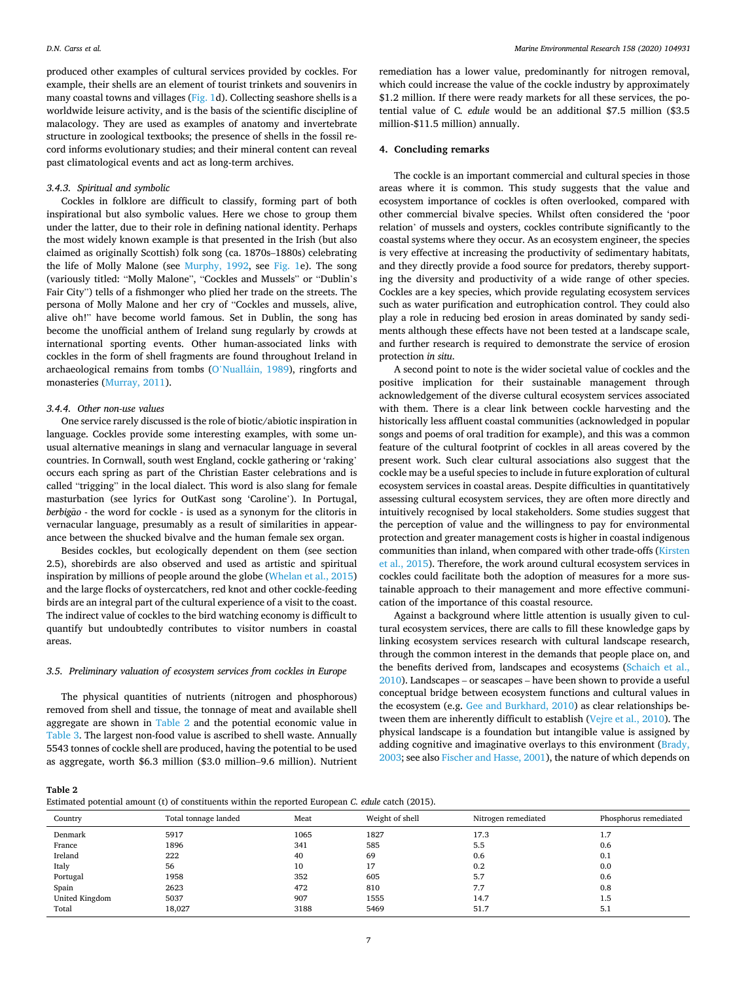produced other examples of cultural services provided by cockles. For example, their shells are an element of tourist trinkets and souvenirs in many coastal towns and villages ([Fig. 1](#page-4-0)d). Collecting seashore shells is a worldwide leisure activity, and is the basis of the scientific discipline of malacology. They are used as examples of anatomy and invertebrate structure in zoological textbooks; the presence of shells in the fossil record informs evolutionary studies; and their mineral content can reveal past climatological events and act as long-term archives.

#### *3.4.3. Spiritual and symbolic*

Cockles in folklore are difficult to classify, forming part of both inspirational but also symbolic values. Here we chose to group them under the latter, due to their role in defining national identity. Perhaps the most widely known example is that presented in the Irish (but also claimed as originally Scottish) folk song (ca. 1870s–1880s) celebrating the life of Molly Malone (see [Murphy, 1992](#page-9-0), see [Fig. 1e](#page-4-0)). The song (variously titled: "Molly Malone", "Cockles and Mussels" or "Dublin's Fair City") tells of a fishmonger who plied her trade on the streets. The persona of Molly Malone and her cry of "Cockles and mussels, alive, alive oh!" have become world famous. Set in Dublin, the song has become the unofficial anthem of Ireland sung regularly by crowds at international sporting events. Other human-associated links with cockles in the form of shell fragments are found throughout Ireland in archaeological remains from tombs (O'Nualláin, 1989), ringforts and monasteries [\(Murray, 2011\)](#page-9-0).

## *3.4.4. Other non-use values*

One service rarely discussed is the role of biotic/abiotic inspiration in language. Cockles provide some interesting examples, with some unusual alternative meanings in slang and vernacular language in several countries. In Cornwall, south west England, cockle gathering or 'raking' occurs each spring as part of the Christian Easter celebrations and is called "trigging" in the local dialect. This word is also slang for female masturbation (see lyrics for OutKast song 'Caroline'). In Portugal, *berbigão* - the word for cockle - is used as a synonym for the clitoris in vernacular language, presumably as a result of similarities in appearance between the shucked bivalve and the human female sex organ.

Besides cockles, but ecologically dependent on them (see section 2.5), shorebirds are also observed and used as artistic and spiritual inspiration by millions of people around the globe [\(Whelan et al., 2015\)](#page-9-0) and the large flocks of oystercatchers, red knot and other cockle-feeding birds are an integral part of the cultural experience of a visit to the coast. The indirect value of cockles to the bird watching economy is difficult to quantify but undoubtedly contributes to visitor numbers in coastal areas.

## *3.5. Preliminary valuation of ecosystem services from cockles in Europe*

The physical quantities of nutrients (nitrogen and phosphorous) removed from shell and tissue, the tonnage of meat and available shell aggregate are shown in Table 2 and the potential economic value in [Table 3.](#page-7-0) The largest non-food value is ascribed to shell waste. Annually 5543 tonnes of cockle shell are produced, having the potential to be used as aggregate, worth \$6.3 million (\$3.0 million–9.6 million). Nutrient

remediation has a lower value, predominantly for nitrogen removal, which could increase the value of the cockle industry by approximately \$1.2 million. If there were ready markets for all these services, the potential value of C*. edule* would be an additional \$7.5 million (\$3.5 million-\$11.5 million) annually.

#### **4. Concluding remarks**

The cockle is an important commercial and cultural species in those areas where it is common. This study suggests that the value and ecosystem importance of cockles is often overlooked, compared with other commercial bivalve species. Whilst often considered the 'poor relation' of mussels and oysters, cockles contribute significantly to the coastal systems where they occur. As an ecosystem engineer, the species is very effective at increasing the productivity of sedimentary habitats, and they directly provide a food source for predators, thereby supporting the diversity and productivity of a wide range of other species. Cockles are a key species, which provide regulating ecosystem services such as water purification and eutrophication control. They could also play a role in reducing bed erosion in areas dominated by sandy sediments although these effects have not been tested at a landscape scale, and further research is required to demonstrate the service of erosion protection *in situ*.

A second point to note is the wider societal value of cockles and the positive implication for their sustainable management through acknowledgement of the diverse cultural ecosystem services associated with them. There is a clear link between cockle harvesting and the historically less affluent coastal communities (acknowledged in popular songs and poems of oral tradition for example), and this was a common feature of the cultural footprint of cockles in all areas covered by the present work. Such clear cultural associations also suggest that the cockle may be a useful species to include in future exploration of cultural ecosystem services in coastal areas. Despite difficulties in quantitatively assessing cultural ecosystem services, they are often more directly and intuitively recognised by local stakeholders. Some studies suggest that the perception of value and the willingness to pay for environmental protection and greater management costs is higher in coastal indigenous communities than inland, when compared with other trade-offs ([Kirsten](#page-8-0)  [et al., 2015](#page-8-0)). Therefore, the work around cultural ecosystem services in cockles could facilitate both the adoption of measures for a more sustainable approach to their management and more effective communication of the importance of this coastal resource.

Against a background where little attention is usually given to cultural ecosystem services, there are calls to fill these knowledge gaps by linking ecosystem services research with cultural landscape research, through the common interest in the demands that people place on, and the benefits derived from, landscapes and ecosystems ([Schaich et al.,](#page-9-0)  [2010\)](#page-9-0). Landscapes – or seascapes – have been shown to provide a useful conceptual bridge between ecosystem functions and cultural values in the ecosystem (e.g. [Gee and Burkhard, 2010](#page-8-0)) as clear relationships between them are inherently difficult to establish ([Vejre et al., 2010](#page-9-0)). The physical landscape is a foundation but intangible value is assigned by adding cognitive and imaginative overlays to this environment ([Brady,](#page-7-0)  [2003;](#page-7-0) see also [Fischer and Hasse, 2001](#page-8-0)), the nature of which depends on

**Table 2** 

Estimated potential amount (t) of constituents within the reported European *C. edule* catch (2015).

| Country        | Total tonnage landed | Meat | Weight of shell | Nitrogen remediated | Phosphorus remediated |
|----------------|----------------------|------|-----------------|---------------------|-----------------------|
| Denmark        | 5917                 | 1065 | 1827            | 17.3                | 1.7                   |
| France         | 1896                 | 341  | 585             | 5.5                 | 0.6                   |
| Ireland        | 222                  | 40   | 69              | 0.6                 | 0.1                   |
| Italy          | 56                   | 10   | 17              | 0.2                 | 0.0                   |
| Portugal       | 1958                 | 352  | 605             | 5.7                 | 0.6                   |
| Spain          | 2623                 | 472  | 810             | 7.7                 | 0.8                   |
| United Kingdom | 5037                 | 907  | 1555            | 14.7                | 1.5                   |
| Total          | 18,027               | 3188 | 5469            | 51.7                | 5.1                   |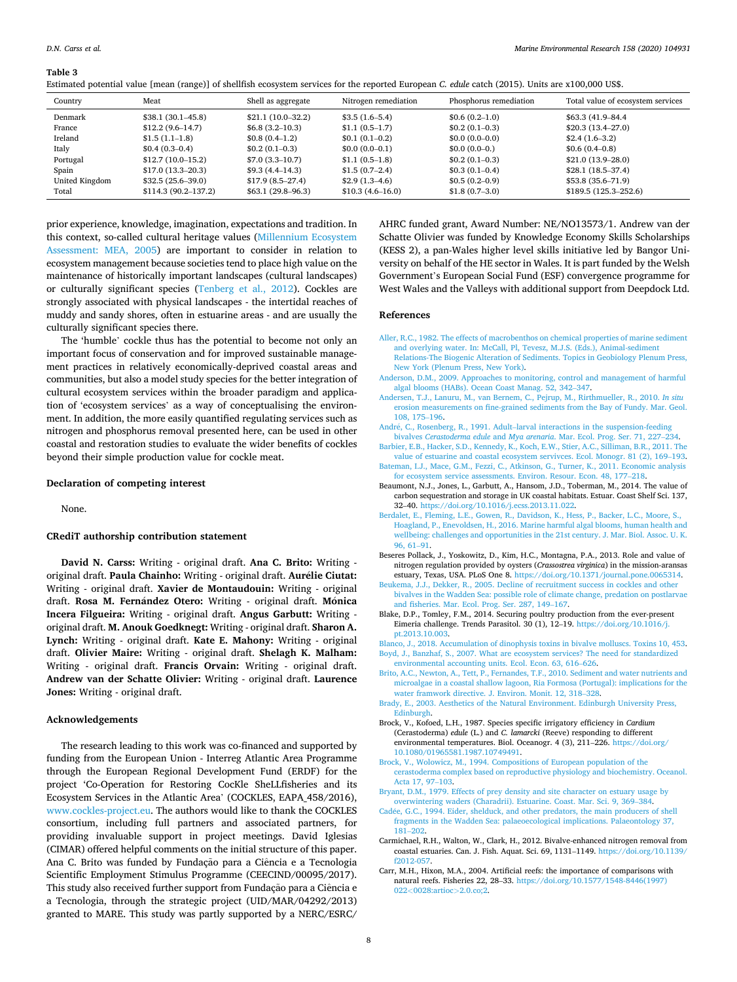<span id="page-7-0"></span>Estimated potential value [mean (range)] of shellfish ecosystem services for the reported European *C. edule* catch (2015). Units are x100,000 US\$.

| Country        | Meat                  | Shell as aggregate    | Nitrogen remediation | Phosphorus remediation | Total value of ecosystem services |
|----------------|-----------------------|-----------------------|----------------------|------------------------|-----------------------------------|
| Denmark        | $$38.1 (30.1 - 45.8)$ | $$21.1(10.0-32.2)$    | $$3.5(1.6-5.4)$      | $$0.6(0.2-1.0)$        | \$63.3 (41.9 - 84.4)              |
| France         | $$12.2(9.6-14.7)$     | $$6.8(3.2-10.3)$      | $$1.1(0.5-1.7)$      | $$0.2(0.1-0.3)$        | $$20.3(13.4-27.0)$                |
| Ireland        | $$1.5(1.1-1.8)$       | $$0.8(0.4-1.2)$       | $$0.1(0.1-0.2)$      | $$0.0 (0.0 - 0.0)$     | $$2.4(1.6-3.2)$                   |
| Italy          | $$0.4(0.3-0.4)$       | $$0.2(0.1-0.3)$       | $$0.0(0.0-0.1)$      | $$0.0(0.0-0.)$         | $$0.6(0.4-0.8)$                   |
| Portugal       | $$12.7(10.0-15.2)$    | $$7.0(3.3-10.7)$      | $$1.1(0.5-1.8)$      | $$0.2(0.1-0.3)$        | $$21.0(13.9-28.0)$                |
| Spain          | $$17.0(13.3-20.3)$    | $$9.3(4.4-14.3)$      | $$1.5(0.7-2.4)$      | $$0.3(0.1-0.4)$        | $$28.1(18.5-37.4)$                |
| United Kingdom | $$32.5(25.6-39.0)$    | $$17.9(8.5-27.4)$     | $$2.9(1.3-4.6)$      | $$0.5(0.2-0.9)$        | $$53.8 (35.6 - 71.9)$             |
| Total          | $$114.3(90.2-137.2)$  | $$63.1 (29.8 - 96.3)$ | $$10.3(4.6-16.0)$    | $$1.8(0.7-3.0)$        | $$189.5(125.3-252.6)$             |

prior experience, knowledge, imagination, expectations and tradition. In this context, so-called cultural heritage values [\(Millennium Ecosystem](#page-8-0)  [Assessment: MEA, 2005\)](#page-8-0) are important to consider in relation to ecosystem management because societies tend to place high value on the maintenance of historically important landscapes (cultural landscapes) or culturally significant species [\(Tenberg et al., 2012](#page-9-0)). Cockles are strongly associated with physical landscapes - the intertidal reaches of muddy and sandy shores, often in estuarine areas - and are usually the culturally significant species there.

The 'humble' cockle thus has the potential to become not only an important focus of conservation and for improved sustainable management practices in relatively economically-deprived coastal areas and communities, but also a model study species for the better integration of cultural ecosystem services within the broader paradigm and application of 'ecosystem services' as a way of conceptualising the environment. In addition, the more easily quantified regulating services such as nitrogen and phosphorus removal presented here, can be used in other coastal and restoration studies to evaluate the wider benefits of cockles beyond their simple production value for cockle meat.

#### **Declaration of competing interest**

None.

## **CRediT authorship contribution statement**

**David N. Carss:** Writing - original draft. **Ana C. Brito:** Writing original draft. Paula Chainho: Writing - original draft. Aurélie Ciutat: Writing - original draft. **Xavier de Montaudouin:** Writing - original draft. Rosa M. Fernández Otero: Writing - original draft. Mónica **Incera Filgueira:** Writing - original draft. **Angus Garbutt:** Writing original draft. **M. Anouk Goedknegt:** Writing - original draft. **Sharon A. Lynch:** Writing - original draft. **Kate E. Mahony:** Writing - original draft. **Olivier Maire:** Writing - original draft. **Shelagh K. Malham:**  Writing - original draft. **Francis Orvain:** Writing - original draft. **Andrew van der Schatte Olivier:** Writing - original draft. **Laurence Jones:** Writing - original draft.

### **Acknowledgements**

The research leading to this work was co-financed and supported by funding from the European Union - Interreg Atlantic Area Programme through the European Regional Development Fund (ERDF) for the project 'Co-Operation for Restoring CocKle SheLLfisheries and its Ecosystem Services in the Atlantic Area' (COCKLES, EAPA\_458/2016), [www.cockles-project.eu.](http://www.cockles-project.eu) The authors would like to thank the COCKLES consortium, including full partners and associated partners, for providing invaluable support in project meetings. David Iglesias (CIMAR) offered helpful comments on the initial structure of this paper. Ana C. Brito was funded by Fundação para a Ciência e a Tecnologia Scientific Employment Stimulus Programme (CEECIND/00095/2017). This study also received further support from Fundação para a Ciência e a Tecnologia, through the strategic project (UID/MAR/04292/2013) granted to MARE. This study was partly supported by a NERC/ESRC/

AHRC funded grant, Award Number: NE/NO13573/1. Andrew van der Schatte Olivier was funded by Knowledge Economy Skills Scholarships (KESS 2), a pan-Wales higher level skills initiative led by Bangor University on behalf of the HE sector in Wales. It is part funded by the Welsh Government's European Social Fund (ESF) convergence programme for West Wales and the Valleys with additional support from Deepdock Ltd.

#### **References**

- [Aller, R.C., 1982. The effects of macrobenthos on chemical properties of marine sediment](http://refhub.elsevier.com/S0141-1136(19)30618-X/sref1)  [and overlying water. In: McCall, Pl, Tevesz, M.J.S. \(Eds.\), Animal-sediment](http://refhub.elsevier.com/S0141-1136(19)30618-X/sref1) [Relations-The Biogenic Alteration of Sediments. Topics in Geobiology Plenum Press,](http://refhub.elsevier.com/S0141-1136(19)30618-X/sref1)  [New York \(Plenum Press, New York\).](http://refhub.elsevier.com/S0141-1136(19)30618-X/sref1)
- [Anderson, D.M., 2009. Approaches to monitoring, control and management of harmful](http://refhub.elsevier.com/S0141-1136(19)30618-X/sref2)
- [algal blooms \(HABs\). Ocean Coast Manag. 52, 342](http://refhub.elsevier.com/S0141-1136(19)30618-X/sref2)–347. [Andersen, T.J., Lanuru, M., van Bernem, C., Pejrup, M., Rirthmueller, R., 2010.](http://refhub.elsevier.com/S0141-1136(19)30618-X/sref3) *In situ*  [erosion measurements on fine-grained sediments from the Bay of Fundy. Mar. Geol.](http://refhub.elsevier.com/S0141-1136(19)30618-X/sref3)  [108, 175](http://refhub.elsevier.com/S0141-1136(19)30618-X/sref3)–196.
- Andr�e, C., Rosenberg, R., 1991. Adult–[larval interactions in the suspension-feeding](http://refhub.elsevier.com/S0141-1136(19)30618-X/sref4) bivalves *Cerastoderma edule* and *Mya arenaria*[. Mar. Ecol. Prog. Ser. 71, 227](http://refhub.elsevier.com/S0141-1136(19)30618-X/sref4)–234.
- [Barbier, E.B., Hacker, S.D., Kennedy, K., Koch, E.W., Stier, A.C., Silliman, B.R., 2011. The](http://refhub.elsevier.com/S0141-1136(19)30618-X/sref5)  [value of estuarine and coastal ecosystem servivces. Ecol. Monogr. 81 \(2\), 169](http://refhub.elsevier.com/S0141-1136(19)30618-X/sref5)–193.
- [Bateman, I.J., Mace, G.M., Fezzi, C., Atkinson, G., Turner, K., 2011. Economic analysis](http://refhub.elsevier.com/S0141-1136(19)30618-X/sref6) [for ecosystem service assessments. Environ. Resour. Econ. 48, 177](http://refhub.elsevier.com/S0141-1136(19)30618-X/sref6)–218.
- Beaumont, N.J., Jones, L., Garbutt, A., Hansom, J.D., Toberman, M., 2014. The value of carbon sequestration and storage in UK coastal habitats. Estuar. Coast Shelf Sci. 137, 32–40. <https://doi.org/10.1016/j.ecss.2013.11.022>.
- [Berdalet, E., Fleming, L.E., Gowen, R., Davidson, K., Hess, P., Backer, L.C., Moore, S.,](http://refhub.elsevier.com/S0141-1136(19)30618-X/sref8)  [Hoagland, P., Enevoldsen, H., 2016. Marine harmful algal blooms, human health and](http://refhub.elsevier.com/S0141-1136(19)30618-X/sref8)  [wellbeing: challenges and opportunities in the 21st century. J. Mar. Biol. Assoc. U. K.](http://refhub.elsevier.com/S0141-1136(19)30618-X/sref8)  [96, 61](http://refhub.elsevier.com/S0141-1136(19)30618-X/sref8)–91.
- Beseres Pollack, J., Yoskowitz, D., Kim, H.C., Montagna, P.A., 2013. Role and value of nitrogen regulation provided by oysters (*Crassostrea virginica*) in the mission-aransas estuary, Texas, USA. PLoS One 8. <https://doi.org/10.1371/journal.pone.0065314>.
- [Beukema, J.J., Dekker, R., 2005. Decline of recruitment success in cockles and other](http://refhub.elsevier.com/S0141-1136(19)30618-X/sref10) [bivalves in the Wadden Sea: possible role of climate change, predation on postlarvae](http://refhub.elsevier.com/S0141-1136(19)30618-X/sref10)  [and fisheries. Mar. Ecol. Prog. Ser. 287, 149](http://refhub.elsevier.com/S0141-1136(19)30618-X/sref10)–167.
- Blake, D.P., Tomley, F.M., 2014. Securing poultry production from the ever-present Eimeria challenge. Trends Parasitol. 30 (1), 12–19. [https://doi.org/10.1016/j.](https://doi.org/10.1016/j.pt.2013.10.003)  [pt.2013.10.003.](https://doi.org/10.1016/j.pt.2013.10.003)

[Blanco, J., 2018. Accumulation of dinophysis toxins in bivalve molluscs. Toxins 10, 453.](http://refhub.elsevier.com/S0141-1136(19)30618-X/sref12) [Boyd, J., Banzhaf, S., 2007. What are ecosystem services? The need for standardized](http://refhub.elsevier.com/S0141-1136(19)30618-X/sref13)

- [environmental accounting units. Ecol. Econ. 63, 616](http://refhub.elsevier.com/S0141-1136(19)30618-X/sref13)–626.
- [Brito, A.C., Newton, A., Tett, P., Fernandes, T.F., 2010. Sediment and water nutrients and](http://refhub.elsevier.com/S0141-1136(19)30618-X/sref14)  [microalgae in a coastal shallow lagoon, Ria Formosa \(Portugal\): implications for the](http://refhub.elsevier.com/S0141-1136(19)30618-X/sref14)  [water framwork directive. J. Environ. Monit. 12, 318](http://refhub.elsevier.com/S0141-1136(19)30618-X/sref14)–328.
- [Brady, E., 2003. Aesthetics of the Natural Environment. Edinburgh University Press,](http://refhub.elsevier.com/S0141-1136(19)30618-X/sref15) **[Edinburgh](http://refhub.elsevier.com/S0141-1136(19)30618-X/sref15)**
- Brock, V., Kofoed, L.H., 1987. Species specific irrigatory efficiency in *Cardium*  (Cerastoderma) *edule* (L.) and *C. lamarcki* (Reeve) responding to different environmental temperatures. Biol. Oceanogr. 4 (3), 211–226. [https://doi.org/](https://doi.org/10.1080/01965581.1987.10749491)  [10.1080/01965581.1987.10749491](https://doi.org/10.1080/01965581.1987.10749491).
- [Brock, V., Wolowicz, M., 1994. Compositions of European population of the](http://refhub.elsevier.com/S0141-1136(19)30618-X/sref17)  [cerastoderma complex based on reproductive physiology and biochemistry. Oceanol.](http://refhub.elsevier.com/S0141-1136(19)30618-X/sref17)  [Acta 17, 97](http://refhub.elsevier.com/S0141-1136(19)30618-X/sref17)–103.
- [Bryant, D.M., 1979. Effects of prey density and site character on estuary usage by](http://refhub.elsevier.com/S0141-1136(19)30618-X/sref18) [overwintering waders \(Charadrii\). Estuarine. Coast. Mar. Sci. 9, 369](http://refhub.elsevier.com/S0141-1136(19)30618-X/sref18)–384.
- Cadée, G.C., 1994. Eider, shelduck, and other predators, the main producers of shell [fragments in the Wadden Sea: palaeoecological implications. Palaeontology 37,](http://refhub.elsevier.com/S0141-1136(19)30618-X/sref19)  181–[202](http://refhub.elsevier.com/S0141-1136(19)30618-X/sref19).
- Carmichael, R.H., Walton, W., Clark, H., 2012. Bivalve-enhanced nitrogen removal from coastal estuaries. Can. J. Fish. Aquat. Sci. 69, 1131–1149. [https://doi.org/10.1139/](https://doi.org/10.1139/f2012-057)  [f2012-057.](https://doi.org/10.1139/f2012-057)
- Carr, M.H., Hixon, M.A., 2004. Artificial reefs: the importance of comparisons with natural reefs. Fisheries 22, 28–33. [https://doi.org/10.1577/1548-8446\(1997\)](https://doi.org/10.1577/1548-8446(1997)022<0028:artioc>2.0.co;2) 022*<*[0028:artioc](https://doi.org/10.1577/1548-8446(1997)022<0028:artioc>2.0.co;2)*>*2.0.co;2.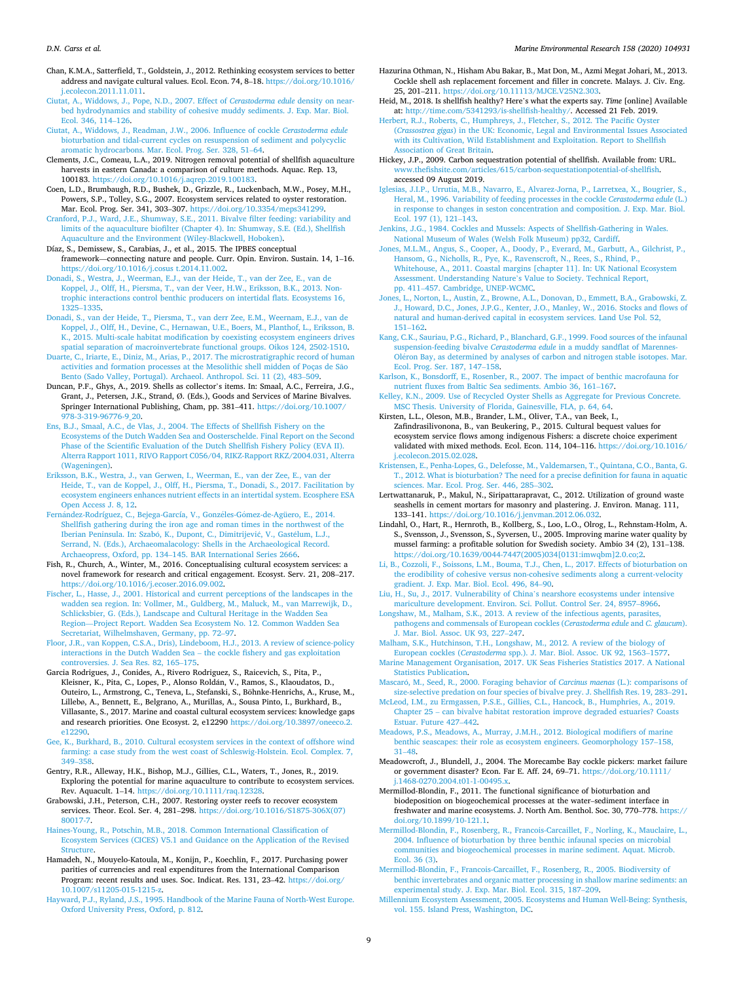<span id="page-8-0"></span>Chan, K.M.A., Satterfield, T., Goldstein, J., 2012. Rethinking ecosystem services to better address and navigate cultural values. Ecol. Econ. 74, 8–18. [https://doi.org/10.1016/](https://doi.org/10.1016/j.ecolecon.2011.11.011)  [j.ecolecon.2011.11.011](https://doi.org/10.1016/j.ecolecon.2011.11.011).

- [Ciutat, A., Widdows, J., Pope, N.D., 2007. Effect of](http://refhub.elsevier.com/S0141-1136(19)30618-X/sref23) *Cerastoderma edule* density on near[bed hydrodynamics and stability of cohesive muddy sediments. J. Exp. Mar. Biol.](http://refhub.elsevier.com/S0141-1136(19)30618-X/sref23) [Ecol. 346, 114](http://refhub.elsevier.com/S0141-1136(19)30618-X/sref23)–126.
- [Ciutat, A., Widdows, J., Readman, J.W., 2006. Influence of cockle](http://refhub.elsevier.com/S0141-1136(19)30618-X/sref24) *Cerastoderma edule*  [bioturbation and tidal-current cycles on resuspension of sediment and polycyclic](http://refhub.elsevier.com/S0141-1136(19)30618-X/sref24)  [aromatic hydrocarbons. Mar. Ecol. Prog. Ser. 328, 51](http://refhub.elsevier.com/S0141-1136(19)30618-X/sref24)–64.
- Clements, J.C., Comeau, L.A., 2019. Nitrogen removal potential of shellfish aquaculture harvests in eastern Canada: a comparison of culture methods. Aquac. Rep. 13, 100183. [https://doi.org/10.1016/j.aqrep.2019.100183.](https://doi.org/10.1016/j.aqrep.2019.100183)
- Coen, L.D., Brumbaugh, R.D., Bushek, D., Grizzle, R., Luckenbach, M.W., Posey, M.H., Powers, S.P., Tolley, S.G., 2007. Ecosystem services related to oyster restoration. Mar. Ecol. Prog. Ser. 341, 303–307. [https://doi.org/10.3354/meps341299.](https://doi.org/10.3354/meps341299)
- [Cranford, P.J., Ward, J.E., Shumway, S.E., 2011. Bivalve filter feeding: variability and](http://refhub.elsevier.com/S0141-1136(19)30618-X/sref27)  [limits of the aquaculture biofilter \(Chapter 4\). In: Shumway, S.E. \(Ed.\), Shellfish](http://refhub.elsevier.com/S0141-1136(19)30618-X/sref27) [Aquaculture and the Environment \(Wiley-Blackwell, Hoboken\)](http://refhub.elsevier.com/S0141-1136(19)30618-X/sref27).
- Díaz, S., Demissew, S., Carabias, J., et al., 2015. The IPBES conceptual framework—connecting nature and people. Curr. Opin. Environ. Sustain. 14, 1–16. <https://doi.org/10.1016/j.cosus t.2014.11.002>.
- [Donadi, S., Westra, J., Weerman, E.J., van der Heide, T., van der Zee, E., van de](http://refhub.elsevier.com/S0141-1136(19)30618-X/sref29)  [Koppel, J., Olff, H., Piersma, T., van der Veer, H.W., Eriksson, B.K., 2013. Non](http://refhub.elsevier.com/S0141-1136(19)30618-X/sref29)[trophic interactions control benthic producers on intertidal flats. Ecosystems 16,](http://refhub.elsevier.com/S0141-1136(19)30618-X/sref29)  [1325](http://refhub.elsevier.com/S0141-1136(19)30618-X/sref29)–1335.
- [Donadi, S., van der Heide, T., Piersma, T., van derr Zee, E.M., Weernam, E.J., van de](http://refhub.elsevier.com/S0141-1136(19)30618-X/sref30) [Koppel, J., Olff, H., Devine, C., Hernawan, U.E., Boers, M., Planthof, L., Eriksson, B.](http://refhub.elsevier.com/S0141-1136(19)30618-X/sref30)  [K., 2015. Multi-scale habitat modification by coexisting ecosystem engineers drives](http://refhub.elsevier.com/S0141-1136(19)30618-X/sref30)  [spatial separation of macroinvertebrate functional groups. Oikos 124, 2502-1510.](http://refhub.elsevier.com/S0141-1136(19)30618-X/sref30)
- [Duarte, C., Iriarte, E., Diniz, M., Arias, P., 2017. The microstratigraphic record of human](http://refhub.elsevier.com/S0141-1136(19)30618-X/sref31)  [activities and formation processes at the Mesolithic shell midden of Poças de Sao](http://refhub.elsevier.com/S0141-1136(19)30618-X/sref31) ~ [Bento \(Sado Valley, Portugal\). Archaeol. Anthropol. Sci. 11 \(2\), 483](http://refhub.elsevier.com/S0141-1136(19)30618-X/sref31)–509.
- Duncan, P.F., Ghys, A., 2019. Shells as collector's items. In: Smaal, A.C., Ferreira, J.G., Grant, J., Petersen, J.K., Strand, Ø. (Eds.), Goods and Services of Marine Bivalves. Springer International Publishing, Cham, pp. 381–411. [https://doi.org/10.1007/](https://doi.org/10.1007/978-3-319-96776-9_20)  [978-3-319-96776-9\\_20.](https://doi.org/10.1007/978-3-319-96776-9_20)
- [Ens, B.J., Smaal, A.C., de Vlas, J., 2004. The Effects of Shellfish Fishery on the](http://refhub.elsevier.com/S0141-1136(19)30618-X/sref33)  [Ecosystems of the Dutch Wadden Sea and Oosterschelde. Final Report on the Second](http://refhub.elsevier.com/S0141-1136(19)30618-X/sref33)  [Phase of the Scientific Evaluation of the Dutch Shellfish Fishery Policy \(EVA II\).](http://refhub.elsevier.com/S0141-1136(19)30618-X/sref33)  [Alterra Rapport 1011, RIVO Rapport C056/04, RIKZ-Rapport RKZ/2004.031, Alterra](http://refhub.elsevier.com/S0141-1136(19)30618-X/sref33)  [\(Wageningen\)](http://refhub.elsevier.com/S0141-1136(19)30618-X/sref33).
- [Eriksson, B.K., Westra, J., van Gerwen, I., Weerman, E., van der Zee, E., van der](http://refhub.elsevier.com/S0141-1136(19)30618-X/sref34) [Heide, T., van de Koppel, J., Olff, H., Piersma, T., Donadi, S., 2017. Facilitation by](http://refhub.elsevier.com/S0141-1136(19)30618-X/sref34)  [ecosystem engineers enhances nutrient effects in an intertidal system. Ecosphere ESA](http://refhub.elsevier.com/S0141-1136(19)30618-X/sref34)  [Open Access J. 8, 12.](http://refhub.elsevier.com/S0141-1136(19)30618-X/sref34)
- Fernández-Rodríguez, [C., Bejega-García, V., Gonz](http://refhub.elsevier.com/S0141-1136(19)30618-X/sref35)éles-Gómez-de-Agüero, E., 2014. [Shellfish gathering during the iron age and roman times in the northwest of the](http://refhub.elsevier.com/S0141-1136(19)30618-X/sref35) Iberian Peninsula. In: Szabó, K., Dupont, C., Dimitrijević, V., Gastélum, L.J., [Serrand, N. \(Eds.\), Archaeomalacology: Shells in the Archaeological Record.](http://refhub.elsevier.com/S0141-1136(19)30618-X/sref35)  Archaeopress, Oxford, pp. 134–[145. BAR International Series 2666](http://refhub.elsevier.com/S0141-1136(19)30618-X/sref35).
- Fish, R., Church, A., Winter, M., 2016. Conceptualising cultural ecosystem services: a novel framework for research and critical engagement. Ecosyst. Serv. 21, 208–217. <https://doi.org/10.1016/j.ecoser.2016.09.002>.
- [Fischer, L., Hasse, J., 2001. Historical and current perceptions of the landscapes in the](http://refhub.elsevier.com/S0141-1136(19)30618-X/sref37) [wadden sea region. In: Vollmer, M., Guldberg, M., Maluck, M., van Marrewijk, D.,](http://refhub.elsevier.com/S0141-1136(19)30618-X/sref37)  [Schlicksbier, G. \(Eds.\), Landscape and Cultural Heritage in the Wadden Sea](http://refhub.elsevier.com/S0141-1136(19)30618-X/sref37)  Region—[Project Report. Wadden Sea Ecosystem No. 12. Common Wadden Sea](http://refhub.elsevier.com/S0141-1136(19)30618-X/sref37) [Secretariat, Wilhelmshaven, Germany, pp. 72](http://refhub.elsevier.com/S0141-1136(19)30618-X/sref37)–97.
- [Floor, J.R., van Koppen, C.S.A., Dris\), Lindeboom, H.J., 2013. A review of science-policy](http://refhub.elsevier.com/S0141-1136(19)30618-X/sref38)  interactions in the Dutch Wadden Sea – [the cockle fishery and gas exploitation](http://refhub.elsevier.com/S0141-1136(19)30618-X/sref38) [controversies. J. Sea Res. 82, 165](http://refhub.elsevier.com/S0141-1136(19)30618-X/sref38)–175.
- Garcia Rodrigues, J., Conides, A., Rivero Rodriguez, S., Raicevich, S., Pita, P., Kleisner, K., Pita, C., Lopes, P., Alonso Roldán, V., Ramos, S., Klaoudatos, D., Outeiro, L., Armstrong, C., Teneva, L., Stefanski, S., Böhnke-Henrichs, A., Kruse, M., Lillebø, A., Bennett, E., Belgrano, A., Murillas, A., Sousa Pinto, I., Burkhard, B., Villasante, S., 2017. Marine and coastal cultural ecosystem services: knowledge gaps and research priorities. One Ecosyst. 2, e12290 https://doi.org/10.3897/onee [e12290.](https://doi.org/10.3897/oneeco.2.e12290)
- [Gee, K., Burkhard, B., 2010. Cultural ecosystem services in the context of offshore wind](http://refhub.elsevier.com/S0141-1136(19)30618-X/sref40)  [farming: a case study from the west coast of Schleswig-Holstein. Ecol. Complex. 7,](http://refhub.elsevier.com/S0141-1136(19)30618-X/sref40) 349–[358](http://refhub.elsevier.com/S0141-1136(19)30618-X/sref40).
- Gentry, R.R., Alleway, H.K., Bishop, M.J., Gillies, C.L., Waters, T., Jones, R., 2019. Exploring the potential for marine aquaculture to contribute to ecosystem services. Rev. Aquacult. 1–14. [https://doi.org/10.1111/raq.12328.](https://doi.org/10.1111/raq.12328)
- Grabowski, J.H., Peterson, C.H., 2007. Restoring oyster reefs to recover ecosystem services. Theor. Ecol. Ser. 4, 281–298. [https://doi.org/10.1016/S1875-306X\(07\)](https://doi.org/10.1016/S1875-306X(07)80017-7) [80017-7](https://doi.org/10.1016/S1875-306X(07)80017-7).
- [Haines-Young, R., Potschin, M.B., 2018. Common International Classification of](http://refhub.elsevier.com/S0141-1136(19)30618-X/sref43) [Ecosystem Services \(CICES\) V5.1 and Guidance on the Application of the Revised](http://refhub.elsevier.com/S0141-1136(19)30618-X/sref43) **Structure**
- Hamadeh, N., Mouyelo-Katoula, M., Konijn, P., Koechlin, F., 2017. Purchasing power parities of currencies and real expenditures from the International Comparison Program: recent results and uses. Soc. Indicat. Res. 131, 23–42. [https://doi.org/](https://doi.org/10.1007/s11205-015-1215-z) [10.1007/s11205-015-1215-z.](https://doi.org/10.1007/s11205-015-1215-z)
- [Hayward, P.J., Ryland, J.S., 1995. Handbook of the Marine Fauna of North-West Europe.](http://refhub.elsevier.com/S0141-1136(19)30618-X/sref45)  [Oxford University Press, Oxford, p. 812](http://refhub.elsevier.com/S0141-1136(19)30618-X/sref45).

Hazurina Othman, N., Hisham Abu Bakar, B., Mat Don, M., Azmi Megat Johari, M., 2013. Cockle shell ash replacement forcement and filler in concrete. Malays. J. Civ. Eng. 25, 201–211.<https://doi.org/10.11113/MJCE.V25N2.303>.

Heid, M., 2018. Is shellfish healthy? Here's what the experts say. *Time* [online] Available at: <http://time.com/5341293/is-shellfish-healthy/>. Accessed 21 Feb. 2019.

[Herbert, R.J., Roberts, C., Humphreys, J., Fletcher, S., 2012. The Pacific Oyster](http://refhub.elsevier.com/S0141-1136(19)30618-X/sref48) (*Crassostrea gigas*[\) in the UK: Economic, Legal and Environmental Issues Associated](http://refhub.elsevier.com/S0141-1136(19)30618-X/sref48)  [with its Cultivation, Wild Establishment and Exploitation. Report to Shellfish](http://refhub.elsevier.com/S0141-1136(19)30618-X/sref48)  [Association of Great Britain](http://refhub.elsevier.com/S0141-1136(19)30618-X/sref48).

Hickey, J.P., 2009. Carbon sequestration potential of shellfish. Available from: URL. ww.thefishsite.com/articles/615/carbon-sequestationpotential-of-shell accessed 09 August 2019.

- [Iglesias, J.I.P., Urrutia, M.B., Navarro, E., Alvarez-Jorna, P., Larretxea, X., Bougrier, S.,](http://refhub.elsevier.com/S0141-1136(19)30618-X/sref50)  [Heral, M., 1996. Variability of feeding processes in the cockle](http://refhub.elsevier.com/S0141-1136(19)30618-X/sref50) *Cerastoderma edule* (L.) [in response to changes in seston concentration and composition. J. Exp. Mar. Biol.](http://refhub.elsevier.com/S0141-1136(19)30618-X/sref50) [Ecol. 197 \(1\), 121](http://refhub.elsevier.com/S0141-1136(19)30618-X/sref50)–143.
- [Jenkins, J.G., 1984. Cockles and Mussels: Aspects of Shellfish-Gathering in Wales.](http://refhub.elsevier.com/S0141-1136(19)30618-X/sref51) [National Museum of Wales \(Welsh Folk Museum\) pp32, Cardiff.](http://refhub.elsevier.com/S0141-1136(19)30618-X/sref51)
- [Jones, M.L.M., Angus, S., Cooper, A., Doody, P., Everard, M., Garbutt, A., Gilchrist, P.,](http://refhub.elsevier.com/S0141-1136(19)30618-X/sref52) [Hansom, G., Nicholls, R., Pye, K., Ravenscroft, N., Rees, S., Rhind, P.,](http://refhub.elsevier.com/S0141-1136(19)30618-X/sref52)  [Whitehouse, A., 2011. Coastal margins \[chapter 11\]. In: UK National Ecosystem](http://refhub.elsevier.com/S0141-1136(19)30618-X/sref52) Assessment. Understanding Nature'[s Value to Society. Technical Report,](http://refhub.elsevier.com/S0141-1136(19)30618-X/sref52) pp. 411–[457. Cambridge, UNEP-WCMC.](http://refhub.elsevier.com/S0141-1136(19)30618-X/sref52)
- [Jones, L., Norton, L., Austin, Z., Browne, A.L., Donovan, D., Emmett, B.A., Grabowski, Z.](http://refhub.elsevier.com/S0141-1136(19)30618-X/sref53)  [J., Howard, D.C., Jones, J.P.G., Kenter, J.O., Manley, W., 2016. Stocks and flows of](http://refhub.elsevier.com/S0141-1136(19)30618-X/sref53)  [natural and human-derived capital in ecosystem services. Land Use Pol. 52,](http://refhub.elsevier.com/S0141-1136(19)30618-X/sref53) 151–[162](http://refhub.elsevier.com/S0141-1136(19)30618-X/sref53).
- [Kang, C.K., Sauriau, P.G., Richard, P., Blanchard, G.F., 1999. Food sources of the infaunal](http://refhub.elsevier.com/S0141-1136(19)30618-X/sref54)  suspension-feeding bivalve *Cerastoderma edule* [in a muddy sandflat of Marennes-](http://refhub.elsevier.com/S0141-1136(19)30618-X/sref54)Oléron Bay, as determined by analyses of carbon and nitrogen stable isotopes. Mar. [Ecol. Prog. Ser. 187, 147](http://refhub.elsevier.com/S0141-1136(19)30618-X/sref54)–158.
- [Karlson, K., Bonsdorff, E., Rosenber, R., 2007. The impact of benthic macrofauna for](http://refhub.elsevier.com/S0141-1136(19)30618-X/sref55)  [nutrient fluxes from Baltic Sea sediments. Ambio 36, 161](http://refhub.elsevier.com/S0141-1136(19)30618-X/sref55)–167.
- [Kelley, K.N., 2009. Use of Recycled Oyster Shells as Aggregate for Previous Concrete.](http://refhub.elsevier.com/S0141-1136(19)30618-X/sref56)  [MSC Thesis. University of Florida, Gainesville, FLA, p. 64, 64.](http://refhub.elsevier.com/S0141-1136(19)30618-X/sref56)
- Kirsten, L.L., Oleson, M.B., Brander, L.M., Oliver, T.A., van Beek, I., Zafindrasilivonona, B., van Beukering, P., 2015. Cultural bequest values for ecosystem service flows among indigenous Fishers: a discrete choice experiment validated with mixed methods. Ecol. Econ. 114, 104–116. [https://doi.org/10.1016/](https://doi.org/10.1016/j.ecolecon.2015.02.028)  [j.ecolecon.2015.02.028](https://doi.org/10.1016/j.ecolecon.2015.02.028).
- [Kristensen, E., Penha-Lopes, G., Delefosse, M., Valdemarsen, T., Quintana, C.O., Banta, G.](http://refhub.elsevier.com/S0141-1136(19)30618-X/sref58)  [T., 2012. What is bioturbation? The need for a precise definition for fauna in aquatic](http://refhub.elsevier.com/S0141-1136(19)30618-X/sref58)  [sciences. Mar. Ecol. Prog. Ser. 446, 285](http://refhub.elsevier.com/S0141-1136(19)30618-X/sref58)–302.
- Lertwattanaruk, P., Makul, N., Siripattarapravat, C., 2012. Utilization of ground waste seashells in cement mortars for masonry and plastering. J. Environ. Manag. 111, 133–141. [https://doi.org/10.1016/j.jenvman.2012.06.032.](https://doi.org/10.1016/j.jenvman.2012.06.032)
- Lindahl, O., Hart, R., Hernroth, B., Kollberg, S., Loo, L.O., Olrog, L., Rehnstam-Holm, A. S., Svensson, J., Svensson, S., Syversen, U., 2005. Improving marine water quality by mussel farming: a profitable solution for Swedish society. Ambio 34 (2), 131–138. [https://doi.org/10.1639/0044-7447\(2005\)034\[0131:imwqbm\]2.0.co;2.](https://doi.org/10.1639/0044-7447(2005)034[0131:imwqbm]2.0.co;2)
- [Li, B., Cozzoli, F., Soissons, L.M., Bouma, T.J., Chen, L., 2017. Effects of bioturbation on](http://refhub.elsevier.com/S0141-1136(19)30618-X/sref61)  [the erodibility of cohesive versus non-cohesive sediments along a current-velocity](http://refhub.elsevier.com/S0141-1136(19)30618-X/sref61)
- [gradient. J. Exp. Mar. Biol. Ecol. 496, 84](http://refhub.elsevier.com/S0141-1136(19)30618-X/sref61)–90. [Liu, H., Su, J., 2017. Vulnerability of China](http://refhub.elsevier.com/S0141-1136(19)30618-X/sref62)'s nearshore ecosystems under intensive [mariculture development. Environ. Sci. Pollut. Control Ser. 24, 8957](http://refhub.elsevier.com/S0141-1136(19)30618-X/sref62)–8966.
- [Longshaw, M., Malham, S.K., 2013. A review of the infectious agents, parasites,](http://refhub.elsevier.com/S0141-1136(19)30618-X/sref63)  [pathogens and commensals of European cockles \(](http://refhub.elsevier.com/S0141-1136(19)30618-X/sref63)*Cerastoderma edule* and *C. glaucum*). [J. Mar. Biol. Assoc. UK 93, 227](http://refhub.elsevier.com/S0141-1136(19)30618-X/sref63)–247.
- [Malham, S.K., Hutchinson, T.H., Longshaw, M., 2012. A review of the biology of](http://refhub.elsevier.com/S0141-1136(19)30618-X/sref64) European cockles (*Cerastoderma* [spp.\). J. Mar. Biol. Assoc. UK 92, 1563](http://refhub.elsevier.com/S0141-1136(19)30618-X/sref64)–1577.
- [Marine Management Organisation, 2017. UK Seas Fisheries Statistics 2017. A National](http://refhub.elsevier.com/S0141-1136(19)30618-X/sref65)  [Statistics Publication.](http://refhub.elsevier.com/S0141-1136(19)30618-X/sref65)
- Mascaró, [M., Seed, R., 2000. Foraging behavior of](http://refhub.elsevier.com/S0141-1136(19)30618-X/sref66) *Carcinus maenas* (L.): comparisons of [size-selective predation on four species of bivalve prey. J. Shellfish Res. 19, 283](http://refhub.elsevier.com/S0141-1136(19)30618-X/sref66)–291.
- [McLeod, I.M., zu Ermgassen, P.S.E., Gillies, C.L., Hancock, B., Humphries, A., 2019.](http://refhub.elsevier.com/S0141-1136(19)30618-X/sref67)  Chapter 25 – [can bivalve habitat restoration improve degraded estuaries? Coasts](http://refhub.elsevier.com/S0141-1136(19)30618-X/sref67)  [Estuar. Future 427](http://refhub.elsevier.com/S0141-1136(19)30618-X/sref67)–442.
- [Meadows, P.S., Meadows, A., Murray, J.M.H., 2012. Biological modifiers of marine](http://refhub.elsevier.com/S0141-1136(19)30618-X/sref68) [benthic seascapes: their role as ecosystem engineers. Geomorphology 157](http://refhub.elsevier.com/S0141-1136(19)30618-X/sref68)–158, 31–[48](http://refhub.elsevier.com/S0141-1136(19)30618-X/sref68).
- Meadowcroft, J., Blundell, J., 2004. The Morecambe Bay cockle pickers: market failure or government disaster? Econ. Far E. Aff. 24, 69–71. [https://doi.org/10.1111/](https://doi.org/10.1111/j.1468-0270.2004.t01-1-00495.x)  [j.1468-0270.2004.t01-1-00495.x.](https://doi.org/10.1111/j.1468-0270.2004.t01-1-00495.x)
- Mermillod-Blondin, F., 2011. The functional significance of bioturbation and biodeposition on biogeochemical processes at the water–sediment interface in freshwater and marine ecosystems. J. North Am. Benthol. Soc. 30, 770–778. [https://](https://doi.org/10.1899/10-121.1)  [doi.org/10.1899/10-121.1.](https://doi.org/10.1899/10-121.1)
- [Mermillod-Blondin, F., Rosenberg, R., Francois-Carcaillet, F., Norling, K., Mauclaire, L.,](http://refhub.elsevier.com/S0141-1136(19)30618-X/sref71)  [2004. Influence of bioturbation by three benthic infaunal species on microbial](http://refhub.elsevier.com/S0141-1136(19)30618-X/sref71) [communities and biogeochemical processes in marine sediment. Aquat. Microb.](http://refhub.elsevier.com/S0141-1136(19)30618-X/sref71)  [Ecol. 36 \(3\)](http://refhub.elsevier.com/S0141-1136(19)30618-X/sref71).
- [Mermillod-Blondin, F., Francois-Carcaillet, F., Rosenberg, R., 2005. Biodiversity of](http://refhub.elsevier.com/S0141-1136(19)30618-X/sref72)  [benthic invertebrates and organic matter processing in shallow marine sediments: an](http://refhub.elsevier.com/S0141-1136(19)30618-X/sref72)  [experimental study. J. Exp. Mar. Biol. Ecol. 315, 187](http://refhub.elsevier.com/S0141-1136(19)30618-X/sref72)–209.
- [Millennium Ecosystem Assessment, 2005. Ecosystems and Human Well-Being: Synthesis,](http://refhub.elsevier.com/S0141-1136(19)30618-X/sref73)  [vol. 155. Island Press, Washington, DC](http://refhub.elsevier.com/S0141-1136(19)30618-X/sref73).